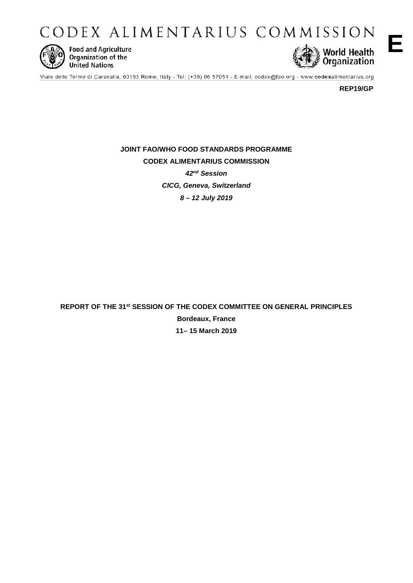CODEX ALIMENTARIUS COMMISSION



**Food and Agriculture** Organization of the **United Nations** 



Viale delle Terme di Caracalla, 00153 Rome, Italy - Tel: (+39) 06 57051 - E-mail: codex@fao.org - www.codexalimentarius.org

**REP19/GP**

**JOINT FAO/WHO FOOD STANDARDS PROGRAMME CODEX ALIMENTARIUS COMMISSION** *42nd Session CICG, Geneva, Switzerland 8 – 12 July 2019*

**REPORT OF THE 31st SESSION OF THE CODEX COMMITTEE ON GENERAL PRINCIPLES Bordeaux, France 11– 15 March 2019**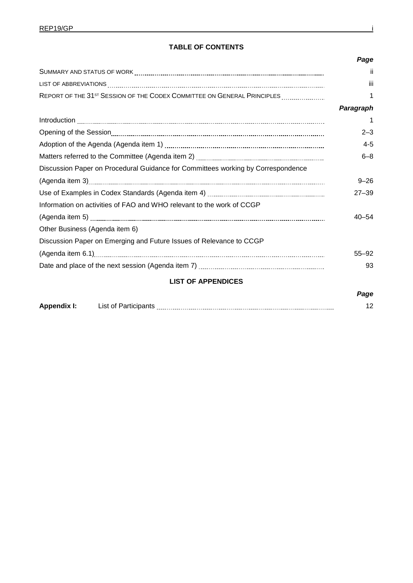## **TABLE OF CONTENTS**

|                                                                                     | Page      |
|-------------------------------------------------------------------------------------|-----------|
|                                                                                     | -ii       |
|                                                                                     | iii       |
| REPORT OF THE 31 <sup>ST</sup> SESSION OF THE CODEX COMMITTEE ON GENERAL PRINCIPLES | 1         |
|                                                                                     | Paragraph |
|                                                                                     |           |
|                                                                                     | $2 - 3$   |
|                                                                                     | $4 - 5$   |
|                                                                                     | $6 - 8$   |
| Discussion Paper on Procedural Guidance for Committees working by Correspondence    |           |
|                                                                                     | $9 - 26$  |
|                                                                                     | $27 - 39$ |
| Information on activities of FAO and WHO relevant to the work of CCGP               |           |
|                                                                                     | $40 - 54$ |
| Other Business (Agenda item 6)                                                      |           |
| Discussion Paper on Emerging and Future Issues of Relevance to CCGP                 |           |
|                                                                                     | $55 - 92$ |
|                                                                                     | 93        |
| <b>LIST OF APPENDICES</b>                                                           |           |
|                                                                                     | Page      |

| Apper | List of Part |  |
|-------|--------------|--|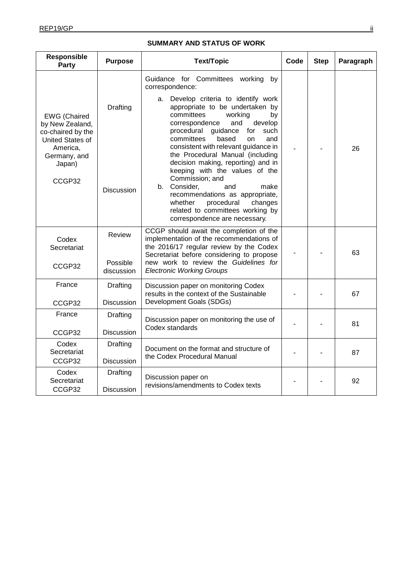#### **Responsible Party Purpose Text/Topic Code Step Paragraph** EWG (Chaired by New Zealand, co-chaired by the United States of America, Germany, and Japan) CCGP32 **Drafting Discussion** Guidance for Committees working by correspondence: a. Develop criteria to identify work appropriate to be undertaken by<br>committees working by committees working by<br>correspondence and develop correspondence and procedural guidance for such<br>committees based on and committees based on and consistent with relevant guidance in the Procedural Manual (including decision making, reporting) and in keeping with the values of the Commission; and<br>Consider. and b. Consider, and make recommendations as appropriate,<br>whether procedural changes whether procedural related to committees working by correspondence are necessary. - - 26 Codex **Secretariat** CCGP32 Review Possible discussion CCGP should await the completion of the implementation of the recommendations of the 2016/17 regular review by the Codex Secretariat before considering to propose new work to review the *Guidelines for Electronic Working Groups* - - 63 France CCGP32 Drafting Discussion Discussion paper on monitoring Codex results in the context of the Sustainable Development Goals (SDGs) - - 67 France CCGP32 **Drafting Discussion** Discussion paper on monitoring the use of Discussion paper on monitoring the use of  $\begin{vmatrix} 1 & 0 & 0 \\ 0 & -1 & 0 \\ 0 & 0 & 0 \end{vmatrix}$  - 81 Codex **Secretariat** CCGP32 Drafting **Discussion** Document on the format and structure of Document on the format and structure of  $\vert$   $\vert$   $\vert$   $\vert$   $\vert$   $\vert$   $\vert$  87 Codex **Secretariat** CCGP32 Drafting **Discussion** Discussion paper on  $\frac{20}{3}$  revisions/amendments to Codex texts  $\frac{20}{3}$

### **SUMMARY AND STATUS OF WORK**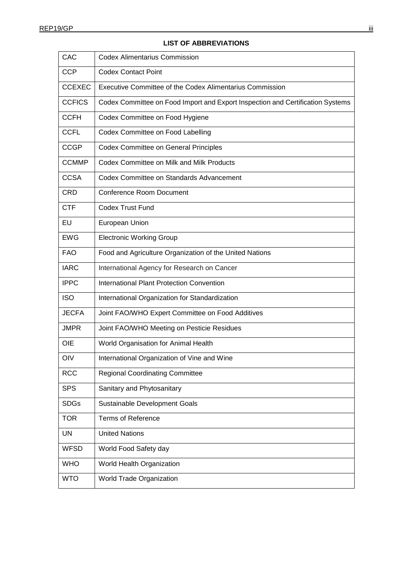| CAC           | <b>Codex Alimentarius Commission</b>                                           |
|---------------|--------------------------------------------------------------------------------|
| <b>CCP</b>    | <b>Codex Contact Point</b>                                                     |
| <b>CCEXEC</b> | Executive Committee of the Codex Alimentarius Commission                       |
| <b>CCFICS</b> | Codex Committee on Food Import and Export Inspection and Certification Systems |
| <b>CCFH</b>   | Codex Committee on Food Hygiene                                                |
| <b>CCFL</b>   | Codex Committee on Food Labelling                                              |
| <b>CCGP</b>   | <b>Codex Committee on General Principles</b>                                   |
| <b>CCMMP</b>  | Codex Committee on Milk and Milk Products                                      |
| <b>CCSA</b>   | Codex Committee on Standards Advancement                                       |
| <b>CRD</b>    | <b>Conference Room Document</b>                                                |
| <b>CTF</b>    | <b>Codex Trust Fund</b>                                                        |
| EU            | European Union                                                                 |
| <b>EWG</b>    | <b>Electronic Working Group</b>                                                |
| <b>FAO</b>    | Food and Agriculture Organization of the United Nations                        |
| <b>IARC</b>   | International Agency for Research on Cancer                                    |
| <b>IPPC</b>   | International Plant Protection Convention                                      |
| <b>ISO</b>    | International Organization for Standardization                                 |
| JECFA         | Joint FAO/WHO Expert Committee on Food Additives                               |
| <b>JMPR</b>   | Joint FAO/WHO Meeting on Pesticie Residues                                     |
| OIE           | World Organisation for Animal Health                                           |
| OIV           | International Organization of Vine and Wine                                    |
| <b>RCC</b>    | <b>Regional Coordinating Committee</b>                                         |
| <b>SPS</b>    | Sanitary and Phytosanitary                                                     |
| <b>SDGs</b>   | Sustainable Development Goals                                                  |
| <b>TOR</b>    | <b>Terms of Reference</b>                                                      |
| <b>UN</b>     | <b>United Nations</b>                                                          |
| <b>WFSD</b>   | World Food Safety day                                                          |
| <b>WHO</b>    | World Health Organization                                                      |
| <b>WTO</b>    | World Trade Organization                                                       |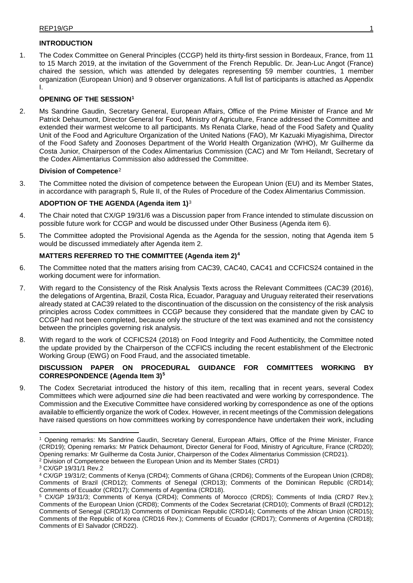## **INTRODUCTION**

1. The Codex Committee on General Principles (CCGP) held its thirty-first session in Bordeaux, France, from 11 to 15 March 2019, at the invitation of the Government of the French Republic. Dr. Jean-Luc Angot (France) chaired the session, which was attended by delegates representing 59 member countries, 1 member organization (European Union) and 9 observer organizations. A full list of participants is attached as Appendix I.

## **OPENING OF THE SESSION[1](#page-4-0)**

2. Ms Sandrine Gaudin, Secretary General, European Affairs, Office of the Prime Minister of France and Mr Patrick Dehaumont, Director General for Food, Ministry of Agriculture, France addressed the Committee and extended their warmest welcome to all participants. Ms Renata Clarke, head of the Food Safety and Quality Unit of the Food and Agriculture Organization of the United Nations (FAO), Mr Kazuaki Miyagishima, Director of the Food Safety and Zoonoses Department of the World Health Organization (WHO), Mr Guilherme da Costa Junior, Chairperson of the Codex Alimentarius Commission (CAC) and Mr Tom Heilandt, Secretary of the Codex Alimentarius Commission also addressed the Committee.

## **Division of Competence**[2](#page-4-1)

3. The Committee noted the division of competence between the European Union (EU) and its Member States, in accordance with paragraph 5, Rule II, of the Rules of Procedure of the Codex Alimentarius Commission.

### **ADOPTION OF THE AGENDA (Agenda item 1)**[3](#page-4-2)

- 4. The Chair noted that CX/GP 19/31/6 was a Discussion paper from France intended to stimulate discussion on possible future work for CCGP and would be discussed under Other Business (Agenda item 6).
- 5. The Committee adopted the Provisional Agenda as the Agenda for the session, noting that Agenda item 5 would be discussed immediately after Agenda item 2.

### **MATTERS REFERRED TO THE COMMITTEE (Agenda item 2)[4](#page-4-3)**

- 6. The Committee noted that the matters arising from CAC39, CAC40, CAC41 and CCFICS24 contained in the working document were for information.
- 7. With regard to the Consistency of the Risk Analysis Texts across the Relevant Committees (CAC39 (2016), the delegations of Argentina, Brazil, Costa Rica, Ecuador, Paraguay and Uruguay reiterated their reservations already stated at CAC39 related to the discontinuation of the discussion on the consistency of the risk analysis principles across Codex committees in CCGP because they considered that the mandate given by CAC to CCGP had not been completed, because only the structure of the text was examined and not the consistency between the principles governing risk analysis.
- 8. With regard to the work of CCFICS24 (2018) on Food Integrity and Food Authenticity, the Committee noted the update provided by the Chairperson of the CCFICS including the recent establishment of the Electronic Working Group (EWG) on Food Fraud, and the associated timetable.

### **DISCUSSION PAPER ON PROCEDURAL GUIDANCE FOR COMMITTEES WORKING BY CORRESPONDENCE (Agenda Item 3)[5](#page-4-4)**

9. The Codex Secretariat introduced the history of this item, recalling that in recent years, several Codex Committees which were adjourned *sine die* had been reactivated and were working by correspondence. The Commission and the Executive Committee have considered working by correspondence as one of the options available to efficiently organize the work of Codex. However, in recent meetings of the Commission delegations have raised questions on how committees working by correspondence have undertaken their work, including

-

<span id="page-4-0"></span><sup>1</sup> Opening remarks: Ms Sandrine Gaudin, Secretary General, European Affairs, Office of the Prime Minister, France (CRD19); Opening remarks: Mr Patrick Dehaumont, Director General for Food, Ministry of Agriculture, France (CRD20); Opening remarks: Mr Guilherme da Costa Junior, Chairperson of the Codex Alimentarius Commission (CRD21).

<span id="page-4-1"></span><sup>2</sup> Division of Competence between the European Union and its Member States (CRD1)

<span id="page-4-2"></span><sup>3</sup> CX/GP 19/31/1 Rev.2

<span id="page-4-3"></span><sup>4</sup> CX/GP 19/31/2; Comments of Kenya (CRD4); Comments of Ghana (CRD6); Comments of the European Union (CRD8); Comments of Brazil (CRD12); Comments of Senegal (CRD13); Comments of the Dominican Republic (CRD14); Comments of Ecuador (CRD17); Comments of Argentina (CRD18).

<span id="page-4-4"></span><sup>5</sup> CX/GP 19/31/3; Comments of Kenya (CRD4); Comments of Morocco (CRD5); Comments of India (CRD7 Rev.); Comments of the European Union (CRD8); Comments of the Codex Secretariat (CRD10); Comments of Brazil (CRD12); Comments of Senegal (CRD/13) Comments of Dominican Republic (CRD14); Comments of the African Union (CRD15); Comments of the Republic of Korea (CRD16 Rev.); Comments of Ecuador (CRD17); Comments of Argentina (CRD18); Comments of El Salvador (CRD22).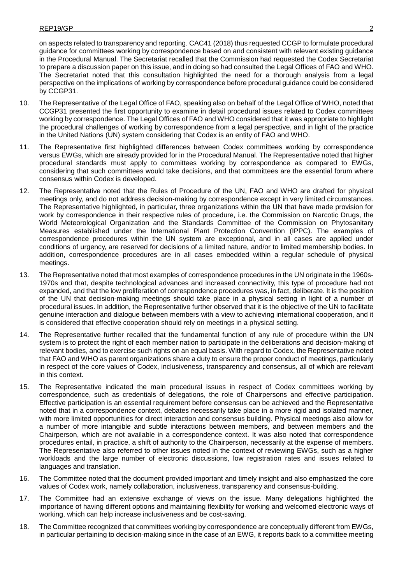on aspects related to transparency and reporting. CAC41 (2018) thus requested CCGP to formulate procedural guidance for committees working by correspondence based on and consistent with relevant existing guidance in the Procedural Manual. The Secretariat recalled that the Commission had requested the Codex Secretariat to prepare a discussion paper on this issue, and in doing so had consulted the Legal Offices of FAO and WHO. The Secretariat noted that this consultation highlighted the need for a thorough analysis from a legal perspective on the implications of working by correspondence before procedural guidance could be considered by CCGP31.

- 10. The Representative of the Legal Office of FAO, speaking also on behalf of the Legal Office of WHO, noted that CCGP31 presented the first opportunity to examine in detail procedural issues related to Codex committees working by correspondence. The Legal Offices of FAO and WHO considered that it was appropriate to highlight the procedural challenges of working by correspondence from a legal perspective, and in light of the practice in the United Nations (UN) system considering that Codex is an entity of FAO and WHO.
- 11. The Representative first highlighted differences between Codex committees working by correspondence versus EWGs, which are already provided for in the Procedural Manual. The Representative noted that higher procedural standards must apply to committees working by correspondence as compared to EWGs, considering that such committees would take decisions, and that committees are the essential forum where consensus within Codex is developed.
- 12. The Representative noted that the Rules of Procedure of the UN, FAO and WHO are drafted for physical meetings only, and do not address decision-making by correspondence except in very limited circumstances. The Representative highlighted, in particular, three organizations within the UN that have made provision for work by correspondence in their respective rules of procedure, i.e. the Commission on Narcotic Drugs, the World Meteorological Organization and the Standards Committee of the Commission on Phytosanitary Measures established under the International Plant Protection Convention (IPPC). The examples of correspondence procedures within the UN system are exceptional, and in all cases are applied under conditions of urgency, are reserved for decisions of a limited nature, and/or to limited membership bodies. In addition, correspondence procedures are in all cases embedded within a regular schedule of physical meetings.
- 13. The Representative noted that most examples of correspondence procedures in the UN originate in the 1960s-1970s and that, despite technological advances and increased connectivity, this type of procedure had not expanded, and that the low proliferation of correspondence procedures was, in fact, deliberate. It is the position of the UN that decision-making meetings should take place in a physical setting in light of a number of procedural issues. In addition, the Representative further observed that it is the objective of the UN to facilitate genuine interaction and dialogue between members with a view to achieving international cooperation, and it is considered that effective cooperation should rely on meetings in a physical setting.
- 14. The Representative further recalled that the fundamental function of any rule of procedure within the UN system is to protect the right of each member nation to participate in the deliberations and decision-making of relevant bodies, and to exercise such rights on an equal basis. With regard to Codex, the Representative noted that FAO and WHO as parent organizations share a duty to ensure the proper conduct of meetings, particularly in respect of the core values of Codex, inclusiveness, transparency and consensus, all of which are relevant in this context.
- 15. The Representative indicated the main procedural issues in respect of Codex committees working by correspondence, such as credentials of delegations, the role of Chairpersons and effective participation. Effective participation is an essential requirement before consensus can be achieved and the Representative noted that in a correspondence context, debates necessarily take place in a more rigid and isolated manner, with more limited opportunities for direct interaction and consensus building. Physical meetings also allow for a number of more intangible and subtle interactions between members, and between members and the Chairperson, which are not available in a correspondence context. It was also noted that correspondence procedures entail, in practice, a shift of authority to the Chairperson, necessarily at the expense of members. The Representative also referred to other issues noted in the context of reviewing EWGs, such as a higher workloads and the large number of electronic discussions, low registration rates and issues related to languages and translation.
- 16. The Committee noted that the document provided important and timely insight and also emphasized the core values of Codex work, namely collaboration, inclusiveness, transparency and consensus-building.
- 17. The Committee had an extensive exchange of views on the issue. Many delegations highlighted the importance of having different options and maintaining flexibility for working and welcomed electronic ways of working, which can help increase inclusiveness and be cost-saving.
- 18. The Committee recognized that committees working by correspondence are conceptually different from EWGs, in particular pertaining to decision-making since in the case of an EWG, it reports back to a committee meeting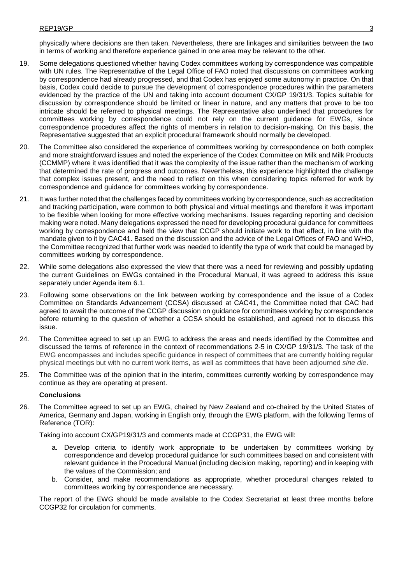physically where decisions are then taken. Nevertheless, there are linkages and similarities between the two in terms of working and therefore experience gained in one area may be relevant to the other.

- 19. Some delegations questioned whether having Codex committees working by correspondence was compatible with UN rules. The Representative of the Legal Office of FAO noted that discussions on committees working by correspondence had already progressed, and that Codex has enjoyed some autonomy in practice. On that basis, Codex could decide to pursue the development of correspondence procedures within the parameters evidenced by the practice of the UN and taking into account document CX/GP 19/31/3. Topics suitable for discussion by correspondence should be limited or linear in nature, and any matters that prove to be too intricate should be referred to physical meetings. The Representative also underlined that procedures for committees working by correspondence could not rely on the current guidance for EWGs, since correspondence procedures affect the rights of members in relation to decision-making. On this basis, the Representative suggested that an explicit procedural framework should normally be developed.
- 20. The Committee also considered the experience of committees working by correspondence on both complex and more straightforward issues and noted the experience of the Codex Committee on Milk and Milk Products (CCMMP) where it was identified that it was the complexity of the issue rather than the mechanism of working that determined the rate of progress and outcomes. Nevertheless, this experience highlighted the challenge that complex issues present, and the need to reflect on this when considering topics referred for work by correspondence and guidance for committees working by correspondence.
- 21. It was further noted that the challenges faced by committees working by correspondence, such as accreditation and tracking participation, were common to both physical and virtual meetings and therefore it was important to be flexible when looking for more effective working mechanisms. Issues regarding reporting and decision making were noted. Many delegations expressed the need for developing procedural guidance for committees working by correspondence and held the view that CCGP should initiate work to that effect, in line with the mandate given to it by CAC41. Based on the discussion and the advice of the Legal Offices of FAO and WHO, the Committee recognized that further work was needed to identify the type of work that could be managed by committees working by correspondence.
- 22. While some delegations also expressed the view that there was a need for reviewing and possibly updating the current Guidelines on EWGs contained in the Procedural Manual, it was agreed to address this issue separately under Agenda item 6.1.
- 23. Following some observations on the link between working by correspondence and the issue of a Codex Committee on Standards Advancement (CCSA) discussed at CAC41, the Committee noted that CAC had agreed to await the outcome of the CCGP discussion on guidance for committees working by correspondence before returning to the question of whether a CCSA should be established, and agreed not to discuss this issue.
- 24. The Committee agreed to set up an EWG to address the areas and needs identified by the Committee and discussed the terms of reference in the context of recommendations 2-5 in CX/GP 19/31/3. The task of the EWG encompasses and includes specific guidance in respect of committees that are currently holding regular physical meetings but with no current work items, as well as committees that have been adjourned *sine die*.
- 25. The Committee was of the opinion that in the interim, committees currently working by correspondence may continue as they are operating at present.

### **Conclusions**

26. The Committee agreed to set up an EWG, chaired by New Zealand and co-chaired by the United States of America, Germany and Japan, working in English only, through the EWG platform, with the following Terms of Reference (TOR):

Taking into account CX/GP19/31/3 and comments made at CCGP31, the EWG will:

- a. Develop criteria to identify work appropriate to be undertaken by committees working by correspondence and develop procedural guidance for such committees based on and consistent with relevant guidance in the Procedural Manual (including decision making, reporting) and in keeping with the values of the Commission; and
- b. Consider, and make recommendations as appropriate, whether procedural changes related to committees working by correspondence are necessary.

The report of the EWG should be made available to the Codex Secretariat at least three months before CCGP32 for circulation for comments.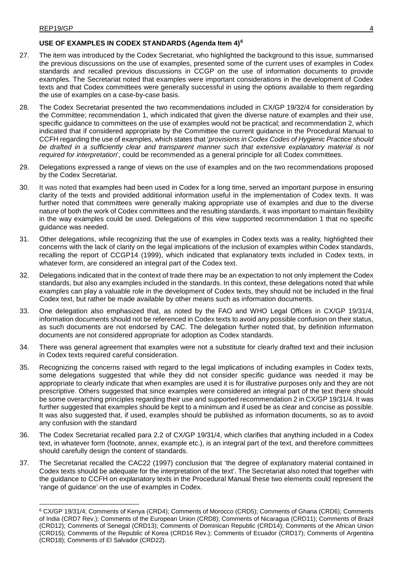<u>.</u>

### **USE OF EXAMPLES IN CODEX STANDARDS (Agenda Item 4)[6](#page-7-0)**

- 27. The item was introduced by the Codex Secretariat, who highlighted the background to this issue, summarised the previous discussions on the use of examples, presented some of the current uses of examples in Codex standards and recalled previous discussions in CCGP on the use of information documents to provide examples. The Secretariat noted that examples were important considerations in the development of Codex texts and that Codex committees were generally successful in using the options available to them regarding the use of examples on a case-by-case basis.
- 28. The Codex Secretariat presented the two recommendations included in CX/GP 19/32/4 for consideration by the Committee; recommendation 1, which indicated that given the diverse nature of examples and their use, specific guidance to committees on the use of examples would not be practical; and recommendation 2, which indicated that if considered appropriate by the Committee the current guidance in the Procedural Manual to CCFH regarding the use of examples, which states that '*provisions in Codex Codes of Hygienic Practice should be drafted in a sufficiently clear and transparent manner such that extensive explanatory material is not required for interpretation*', could be recommended as a general principle for all Codex committees.
- 29. Delegations expressed a range of views on the use of examples and on the two recommendations proposed by the Codex Secretariat.
- 30. It was noted that examples had been used in Codex for a long time, served an important purpose in ensuring clarity of the texts and provided additional information useful in the implementation of Codex texts. It was further noted that committees were generally making appropriate use of examples and due to the diverse nature of both the work of Codex committees and the resulting standards, it was important to maintain flexibility in the way examples could be used. Delegations of this view supported recommendation 1 that no specific guidance was needed.
- 31. Other delegations, while recognizing that the use of examples in Codex texts was a reality, highlighted their concerns with the lack of clarity on the legal implications of the inclusion of examples within Codex standards, recalling the report of CCGP14 (1999), which indicated that explanatory texts included in Codex texts, in whatever form, are considered an integral part of the Codex text.
- 32. Delegations indicated that in the context of trade there may be an expectation to not only implement the Codex standards, but also any examples included in the standards. In this context, these delegations noted that while examples can play a valuable role in the development of Codex texts, they should not be included in the final Codex text, but rather be made available by other means such as information documents.
- 33. One delegation also emphasized that, as noted by the FAO and WHO Legal Offices in CX/GP 19/31/4, information documents should not be referenced in Codex texts to avoid any possible confusion on their status, as such documents are not endorsed by CAC. The delegation further noted that, by definition information documents are not considered appropriate for adoption as Codex standards.
- 34. There was general agreement that examples were not a substitute for clearly drafted text and their inclusion in Codex texts required careful consideration.
- 35. Recognizing the concerns raised with regard to the legal implications of including examples in Codex texts, some delegations suggested that while they did not consider specific guidance was needed it may be appropriate to clearly indicate that when examples are used it is for illustrative purposes only and they are not prescriptive. Others suggested that since examples were considered an integral part of the text there should be some overarching principles regarding their use and supported recommendation 2 in CX/GP 19/31/4. It was further suggested that examples should be kept to a minimum and if used be as clear and concise as possible. It was also suggested that, if used, examples should be published as information documents, so as to avoid any confusion with the standard
- 36. The Codex Secretariat recalled para 2.2 of CX/GP 19/31/4, which clarifies that anything included in a Codex text, in whatever form (footnote, annex, example etc.), is an integral part of the text, and therefore committees should carefully design the content of standards.
- 37. The Secretariat recalled the CAC22 (1997) conclusion that 'the degree of explanatory material contained in Codex texts should be adequate for the interpretation of the text'. The Secretariat also noted that together with the guidance to CCFH on explanatory texts in the Procedural Manual these two elements could represent the 'range of guidance' on the use of examples in Codex.

<span id="page-7-0"></span><sup>6</sup> CX/GP 19/31/4; Comments of Kenya (CRD4); Comments of Morocco (CRD5); Comments of Ghana (CRD6); Comments of India (CRD7 Rev.); Comments of the European Union (CRD8); Comments of Nicaragua (CRD11); Comments of Brazil (CRD12); Comments of Senegal (CRD13); Comments of Dominican Republic (CRD14); Comments of the African Union (CRD15); Comments of the Republic of Korea (CRD16 Rev.); Comments of Ecuador (CRD17); Comments of Argentina (CRD18); Comments of El Salvador (CRD22).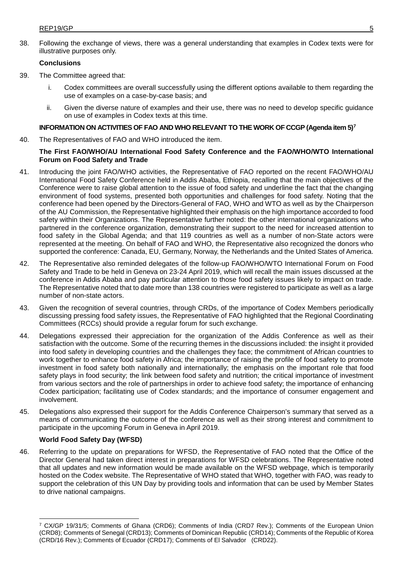38. Following the exchange of views, there was a general understanding that examples in Codex texts were for illustrative purposes only.

### **Conclusions**

- 39. The Committee agreed that:
	- Codex committees are overall successfully using the different options available to them regarding the use of examples on a case-by-case basis; and
	- ii. Given the diverse nature of examples and their use, there was no need to develop specific guidance on use of examples in Codex texts at this time.

### **INFORMATION ON ACTIVITIES OF FAO AND WHO RELEVANT TO THE WORK OF CCGP (Agenda item 5)[7](#page-8-0)**

40. The Representatives of FAO and WHO introduced the item.

### **The First FAO/WHO/AU International Food Safety Conference and the FAO/WHO/WTO International Forum on Food Safety and Trade**

- 41. Introducing the joint FAO/WHO activities, the Representative of FAO reported on the recent FAO/WHO/AU International Food Safety Conference held in Addis Ababa, Ethiopia, recalling that the main objectives of the Conference were to raise global attention to the issue of food safety and underline the fact that the changing environment of food systems, presented both opportunities and challenges for food safety. Noting that the conference had been opened by the Directors-General of FAO, WHO and WTO as well as by the Chairperson of the AU Commission, the Representative highlighted their emphasis on the high importance accorded to food safety within their Organizations. The Representative further noted: the other international organizations who partnered in the conference organization, demonstrating their support to the need for increased attention to food safety in the Global Agenda; and that 119 countries as well as a number of non-State actors were represented at the meeting. On behalf of FAO and WHO, the Representative also recognized the donors who supported the conference: Canada, EU, Germany, Norway, the Netherlands and the United States of America.
- 42. The Representative also reminded delegates of the follow-up FAO/WHO/WTO International Forum on Food Safety and Trade to be held in Geneva on 23-24 April 2019, which will recall the main issues discussed at the conference in Addis Ababa and pay particular attention to those food safety issues likely to impact on trade. The Representative noted that to date more than 138 countries were registered to participate as well as a large number of non-state actors.
- 43. Given the recognition of several countries, through CRDs, of the importance of Codex Members periodically discussing pressing food safety issues, the Representative of FAO highlighted that the Regional Coordinating Committees (RCCs) should provide a regular forum for such exchange.
- 44. Delegations expressed their appreciation for the organization of the Addis Conference as well as their satisfaction with the outcome. Some of the recurring themes in the discussions included: the insight it provided into food safety in developing countries and the challenges they face; the commitment of African countries to work together to enhance food safety in Africa; the importance of raising the profile of food safety to promote investment in food safety both nationally and internationally; the emphasis on the important role that food safety plays in food security; the link between food safety and nutrition; the critical importance of investment from various sectors and the role of partnerships in order to achieve food safety; the importance of enhancing Codex participation; facilitating use of Codex standards; and the importance of consumer engagement and involvement.
- 45. Delegations also expressed their support for the Addis Conference Chairperson's summary that served as a means of communicating the outcome of the conference as well as their strong interest and commitment to participate in the upcoming Forum in Geneva in April 2019.

### **World Food Safety Day (WFSD)**

<u>.</u>

46. Referring to the update on preparations for WFSD, the Representative of FAO noted that the Office of the Director General had taken direct interest in preparations for WFSD celebrations. The Representative noted that all updates and new information would be made available on the WFSD webpage, which is temporarily hosted on the Codex website. The Representative of WHO stated that WHO, together with FAO, was ready to support the celebration of this UN Day by providing tools and information that can be used by Member States to drive national campaigns.

<span id="page-8-0"></span><sup>7</sup> CX/GP 19/31/5; Comments of Ghana (CRD6); Comments of India (CRD7 Rev.); Comments of the European Union (CRD8); Comments of Senegal (CRD13); Comments of Dominican Republic (CRD14); Comments of the Republic of Korea (CRD/16 Rev.); Comments of Ecuador (CRD17); Comments of El Salvador (CRD22).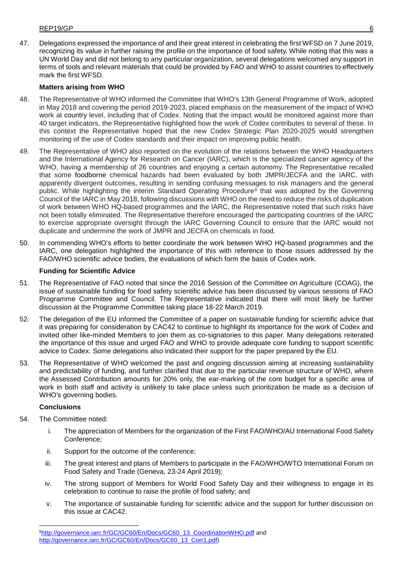47. Delegations expressed the importance of and their great interest in celebrating the first WFSD on 7 June 2019, recognizing its value in further raising the profile on the importance of food safety. While noting that this was a UN World Day and did not belong to any particular organization, several delegations welcomed any support in terms of tools and relevant materials that could be provided by FAO and WHO to assist countries to effectively mark the first WFSD.

### **Matters arising from WHO**

- 48. The Representative of WHO informed the Committee that WHO's 13th General Programme of Work, adopted in May 2018 and covering the period 2019-2023, placed emphasis on the measurement of the impact of WHO work at country level, including that of Codex. Noting that the impact would be monitored against more than 40 target indicators, the Representative highlighted how the work of Codex contributes to several of these. In this context the Representative hoped that the new Codex Strategic Plan 2020-2025 would strengthen monitoring of the use of Codex standards and their impact on improving public health.
- 49. The Representative of WHO also reported on the evolution of the relations between the WHO Headquarters and the International Agency for Research on Cancer (IARC), which is the specialized cancer agency of the WHO, having a membership of 26 countries and enjoying a certain autonomy. The Representative recalled that some foodborne chemical hazards had been evaluated by both JMPR/JECFA and the IARC, with apparently divergent outcomes, resulting in sending confusing messages to risk managers and the general public. While highlighting the interim Standard Operating Procedure<sup>[8](#page-9-0)</sup> that was adopted by the Governing Council of the IARC in May 2018, following discussions with WHO on the need to reduce the risks of duplication of work between WHO HQ-based programmes and the IARC, the Representative noted that such risks have not been totally eliminated. The Representative therefore encouraged the participating countries of the IARC to exercise appropriate oversight through the IARC Governing Council to ensure that the IARC would not duplicate and undermine the work of JMPR and JECFA on chemicals in food.
- 50. In commending WHO's efforts to better coordinate the work between WHO HQ-based programmes and the IARC, one delegation highlighted the importance of this with reference to those issues addressed by the FAO/WHO scientific advice bodies, the evaluations of which form the basis of Codex work.

### **Funding for Scientific Advice**

- 51. The Representative of FAO noted that since the 2016 Session of the Committee on Agriculture (COAG), the issue of sustainable funding for food safety scientific advice has been discussed by various sessions of FAO Programme Committee and Council. The Representative indicated that there will most likely be further discussion at the Programme Committee taking place 18-22 March 2019.
- 52. The delegation of the EU informed the Committee of a paper on sustainable funding for scientific advice that it was preparing for consideration by CAC42 to continue to highlight its importance for the work of Codex and invited other like-minded Members to join them as co-signatories to this paper. Many delegations reiterated the importance of this issue and urged FAO and WHO to provide adequate core funding to support scientific advice to Codex. Some delegations also indicated their support for the paper prepared by the EU.
- 53. The Representative of WHO welcomed the past and ongoing discussion aiming at increasing sustainability and predictability of funding, and further clarified that due to the particular revenue structure of WHO, where the Assessed Contribution amounts for 20% only, the ear-marking of the core budget for a specific area of work in both staff and activity is unlikely to take place unless such prioritization be made as a decision of WHO's governing bodies.

### **Conclusions**

- 54. The Committee noted:
	- i. The appreciation of Members for the organization of the First FAO/WHO/AU International Food Safety Conference;
	- ii. Support for the outcome of the conference;
	- iii. The great interest and plans of Members to participate in the FAO/WHO/WTO International Forum on Food Safety and Trade (Geneva, 23-24 April 2019);
	- iv. The strong support of Members for World Food Safety Day and their willingness to engage in its celebration to continue to raise the profile of food safety; and
	- v. The importance of sustainable funding for scientific advice and the support for further discussion on this issue at CAC42.

<span id="page-9-0"></span> <sup>8</sup>[http://governance.iarc.fr/GC/GC60/En/Docs/GC60\\_13\\_CoordinationWHO.pdf](http://governance.iarc.fr/GC/GC60/En/Docs/GC60_13_CoordinationWHO.pdf) and [http://governance.iarc.fr/GC/GC60/En/Docs/GC60\\_13\\_Corr1.pdf\)](http://governance.iarc.fr/GC/GC60/En/Docs/GC60_13_Corr1.pdf)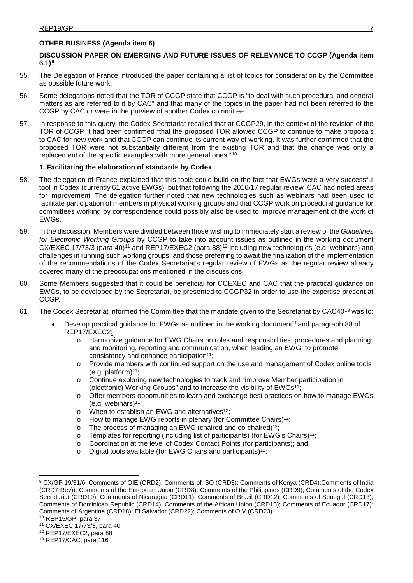## **OTHER BUSINESS (Agenda item 6)**

### **DISCUSSION PAPER ON EMERGING AND FUTURE ISSUES OF RELEVANCE TO CCGP (Agenda item 6.1)[9](#page-10-2)**

- 55. The Delegation of France introduced the paper containing a list of topics for consideration by the Committee as possible future work.
- 56. Some delegations noted that the TOR of CCGP state that CCGP is "to deal with such procedural and general matters as are referred to it by CAC" and that many of the topics in the paper had not been referred to the CCGP by CAC or were in the purview of another Codex committee.
- 57. In response to this query, the Codex Secretariat recalled that at CCGP29, in the context of the revision of the TOR of CCGP, it had been confirmed "that the proposed TOR allowed CCGP to continue to make proposals to CAC for new work and that CCGP can continue its current way of working. It was further confirmed that the proposed TOR were not substantially different from the existing TOR and that the change was only a replacement of the specific examples with more general ones."[10](#page-10-3)

### <span id="page-10-1"></span>**1. Facilitating the elaboration of standards by Codex**

- 58. The delegation of France explained that this topic could build on the fact that EWGs were a very successful tool in Codex (currently 61 active EWGs), but that following the 2016/17 regular review, CAC had noted areas for improvement. The delegation further noted that new technologies such as webinars had been used to facilitate participation of members in physical working groups and that CCGP work on procedural guidance for committees working by correspondence could possibly also be used to improve management of the work of EWGs.
- <span id="page-10-0"></span>59. In the discussion, Members were divided between those wishing to immediately start a review of the *Guidelines for Electronic Working Groups* by CCGP to take into account issues as outlined in the working document CX/EXEC 17/73/3 (para 40)<sup>[11](#page-10-4)</sup> and REP17/EXEC2 (para 88)<sup>[12](#page-10-5)</sup> including new technologies (e.g. webinars) and challenges in running such working groups, and those preferring to await the finalization of the implementation of the recommendations of the Codex Secretariat's regular review of EWGs as the regular review already covered many of the preoccupations mentioned in the discussions.
- 60. Some Members suggested that it could be beneficial for CCEXEC and CAC that the practical guidance on EWGs, to be developed by the Secretariat, be presented to CCGP32 in order to use the expertise present at CCGP.
- 61. The Codex Secretariat informed the Committee that the mandate given to the Secretariat by CAC40[13](#page-10-6) was to:
	- Develop practical guidance for EWGs as outlined in the working document<sup>11</sup> and paragraph 88 of REP17/EXEC[2;](#page-10-1)
		- o Harmonize guidance for EWG Chairs on roles and responsibilities; procedures and planning; and monitoring, reporting and communication, when leading an EWG, to promote consistency and enhance participation $11$ ;
		- o Provide members with continued support on the use and management of Codex online tools (e.g. platform) $11$ ;
		- o Continue exploring new technologies to track and "improve Member participation in (electronic) Working Groups" and to increase the visibility of EWG[s11;](#page-10-0)
		- o Offer members opportunities to learn and exchange best practices on how to manage EWGs (e.g. webinars) $11$ ;
		- o When to establish an EWG and alternatives<sup>12</sup>;
		- o How to manage EWG reports in plenary (for Committee Chairs)<sup>12</sup>;<br>o The process of managing an EWG (chaired and co-chaired)<sup>12</sup>;
		- The process of managing an EWG (chaired and co-chaired)<sup>12</sup>;
		- $\circ$  Templates for reporting (including list of participants) (for EWG's Chairs)<sup>12</sup>;
		- o Coordination at the level of Codex Contact Points (for participants); and
		- o Digital tools available (for EWG Chairs and participants[\)12;](#page-10-1)

<span id="page-10-3"></span>

-

<span id="page-10-5"></span><sup>12</sup> REP17/EXEC2, para 88

<span id="page-10-2"></span><sup>9</sup> CX/GP 19/31/6; Comments of OIE (CRD2); Comments of ISO (CRD3); Comments of Kenya (CRD4):Comments of India (CRD7 Rev)); Comments of the European Union (CRD8); Comments of the Philippines (CRD9); Comments of the Codex Secretariat (CRD10); Comments of Nicaragua (CRD11); Comments of Brazil (CRD12); Comments of Senegal (CRD13); Comments of Dominican Republic (CRD14): Comments of the African Union (CRD15); Comments of Ecuador (CRD17); Comments of Argentina (CRD18); El Salvador (CRD22); Comments of OIV (CRD23).<br><sup>10</sup> REP15/GP, para 37

<span id="page-10-4"></span><sup>11</sup> CX/EXEC 17/73/3, para 40

<span id="page-10-6"></span><sup>13</sup> REP17/CAC, para 116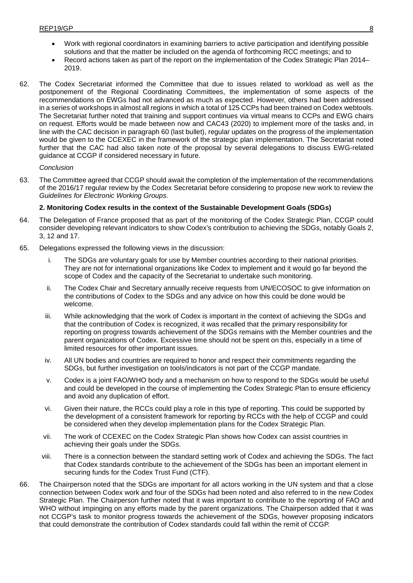- Work with regional coordinators in examining barriers to active participation and identifying possible solutions and that the matter be included on the agenda of forthcoming RCC meetings; and to
- Record actions taken as part of the report on the implementation of the Codex Strategic Plan 2014– 2019.
- 62. The Codex Secretariat informed the Committee that due to issues related to workload as well as the postponement of the Regional Coordinating Committees, the implementation of some aspects of the recommendations on EWGs had not advanced as much as expected. However, others had been addressed in a series of workshops in almost all regions in which a total of 125 CCPs had been trained on Codex webtools. The Secretariat further noted that training and support continues via virtual means to CCPs and EWG chairs on request. Efforts would be made between now and CAC43 (2020) to implement more of the tasks and, in line with the CAC decision in paragraph 60 (last bullet), regular updates on the progress of the implementation would be given to the CCEXEC in the framework of the strategic plan implementation. The Secretariat noted further that the CAC had also taken note of the proposal by several delegations to discuss EWG-related guidance at CCGP if considered necessary in future.

### *Conclusion*

63. The Committee agreed that CCGP should await the completion of the implementation of the recommendations of the 2016/17 regular review by the Codex Secretariat before considering to propose new work to review the *Guidelines for Electronic Working Groups*.

### **2. Monitoring Codex results in the context of the Sustainable Development Goals (SDGs)**

- 64. The Delegation of France proposed that as part of the monitoring of the Codex Strategic Plan, CCGP could consider developing relevant indicators to show Codex's contribution to achieving the SDGs, notably Goals 2, 3, 12 and 17.
- 65. Delegations expressed the following views in the discussion:
	- The SDGs are voluntary goals for use by Member countries according to their national priorities. They are not for international organizations like Codex to implement and it would go far beyond the scope of Codex and the capacity of the Secretariat to undertake such monitoring.
	- ii. The Codex Chair and Secretary annually receive requests from UN/ECOSOC to give information on the contributions of Codex to the SDGs and any advice on how this could be done would be welcome.
	- iii. While acknowledging that the work of Codex is important in the context of achieving the SDGs and that the contribution of Codex is recognized, it was recalled that the primary responsibility for reporting on progress towards achievement of the SDGs remains with the Member countries and the parent organizations of Codex. Excessive time should not be spent on this, especially in a time of limited resources for other important issues.
	- iv. All UN bodies and countries are required to honor and respect their commitments regarding the SDGs, but further investigation on tools/indicators is not part of the CCGP mandate.
	- v. Codex is a joint FAO/WHO body and a mechanism on how to respond to the SDGs would be useful and could be developed in the course of implementing the Codex Strategic Plan to ensure efficiency and avoid any duplication of effort.
	- vi. Given their nature, the RCCs could play a role in this type of reporting. This could be supported by the development of a consistent framework for reporting by RCCs with the help of CCGP and could be considered when they develop implementation plans for the Codex Strategic Plan.
	- vii. The work of CCEXEC on the Codex Strategic Plan shows how Codex can assist countries in achieving their goals under the SDGs.
	- viii. There is a connection between the standard setting work of Codex and achieving the SDGs. The fact that Codex standards contribute to the achievement of the SDGs has been an important element in securing funds for the Codex Trust Fund (CTF).
- 66. The Chairperson noted that the SDGs are important for all actors working in the UN system and that a close connection between Codex work and four of the SDGs had been noted and also referred to in the new Codex Strategic Plan. The Chairperson further noted that it was important to contribute to the reporting of FAO and WHO without impinging on any efforts made by the parent organizations. The Chairperson added that it was not CCGP's task to monitor progress towards the achievement of the SDGs, however proposing indicators that could demonstrate the contribution of Codex standards could fall within the remit of CCGP.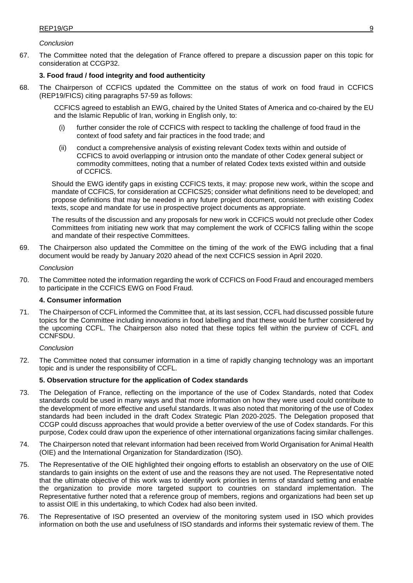### *Conclusion*

67. The Committee noted that the delegation of France offered to prepare a discussion paper on this topic for consideration at CCGP32.

### **3. Food fraud / food integrity and food authenticity**

68. The Chairperson of CCFICS updated the Committee on the status of work on food fraud in CCFICS (REP19/FICS) citing paragraphs 57-59 as follows:

CCFICS agreed to establish an EWG, chaired by the United States of America and co-chaired by the EU and the Islamic Republic of Iran, working in English only, to:

- (i) further consider the role of CCFICS with respect to tackling the challenge of food fraud in the context of food safety and fair practices in the food trade; and
- (ii) conduct a comprehensive analysis of existing relevant Codex texts within and outside of CCFICS to avoid overlapping or intrusion onto the mandate of other Codex general subject or commodity committees, noting that a number of related Codex texts existed within and outside of CCFICS.

Should the EWG identify gaps in existing CCFICS texts, it may: propose new work, within the scope and mandate of CCFICS, for consideration at CCFICS25; consider what definitions need to be developed; and propose definitions that may be needed in any future project document, consistent with existing Codex texts, scope and mandate for use in prospective project documents as appropriate.

The results of the discussion and any proposals for new work in CCFICS would not preclude other Codex Committees from initiating new work that may complement the work of CCFICS falling within the scope and mandate of their respective Committees.

69. The Chairperson also updated the Committee on the timing of the work of the EWG including that a final document would be ready by January 2020 ahead of the next CCFICS session in April 2020.

#### *Conclusion*

70. The Committee noted the information regarding the work of CCFICS on Food Fraud and encouraged members to participate in the CCFICS EWG on Food Fraud.

### **4. Consumer information**

71. The Chairperson of CCFL informed the Committee that, at its last session, CCFL had discussed possible future topics for the Committee including innovations in food labelling and that these would be further considered by the upcoming CCFL. The Chairperson also noted that these topics fell within the purview of CCFL and CCNFSDU.

### *Conclusion*

72. The Committee noted that consumer information in a time of rapidly changing technology was an important topic and is under the responsibility of CCFL.

### **5. Observation structure for the application of Codex standards**

- 73. The Delegation of France, reflecting on the importance of the use of Codex Standards, noted that Codex standards could be used in many ways and that more information on how they were used could contribute to the development of more effective and useful standards. It was also noted that monitoring of the use of Codex standards had been included in the draft Codex Strategic Plan 2020-2025. The Delegation proposed that CCGP could discuss approaches that would provide a better overview of the use of Codex standards. For this purpose, Codex could draw upon the experience of other international organizations facing similar challenges.
- 74. The Chairperson noted that relevant information had been received from World Organisation for Animal Health (OIE) and the International Organization for Standardization (ISO).
- 75. The Representative of the OIE highlighted their ongoing efforts to establish an observatory on the use of OIE standards to gain insights on the extent of use and the reasons they are not used. The Representative noted that the ultimate objective of this work was to identify work priorities in terms of standard setting and enable the organization to provide more targeted support to countries on standard implementation. The Representative further noted that a reference group of members, regions and organizations had been set up to assist OIE in this undertaking, to which Codex had also been invited.
- 76. The Representative of ISO presented an overview of the monitoring system used in ISO which provides information on both the use and usefulness of ISO standards and informs their systematic review of them. The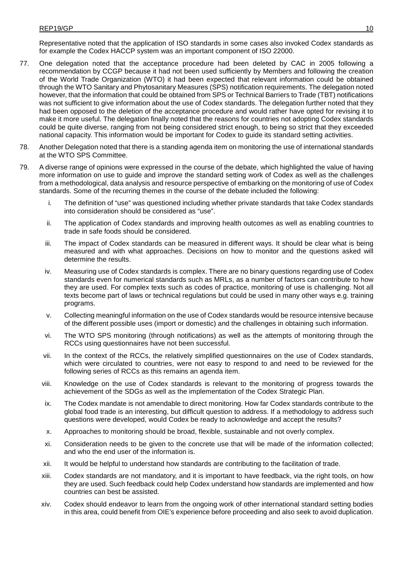Representative noted that the application of ISO standards in some cases also invoked Codex standards as for example the Codex HACCP system was an important component of ISO 22000.

- 77. One delegation noted that the acceptance procedure had been deleted by CAC in 2005 following a recommendation by CCGP because it had not been used sufficiently by Members and following the creation of the World Trade Organization (WTO) it had been expected that relevant information could be obtained through the WTO Sanitary and Phytosanitary Measures (SPS) notification requirements. The delegation noted however, that the information that could be obtained from SPS or Technical Barriers to Trade (TBT) notifications was not sufficient to give information about the use of Codex standards. The delegation further noted that they had been opposed to the deletion of the acceptance procedure and would rather have opted for revising it to make it more useful. The delegation finally noted that the reasons for countries not adopting Codex standards could be quite diverse, ranging from not being considered strict enough, to being so strict that they exceeded national capacity. This information would be important for Codex to guide its standard setting activities.
- 78. Another Delegation noted that there is a standing agenda item on monitoring the use of international standards at the WTO SPS Committee.
- 79. A diverse range of opinions were expressed in the course of the debate, which highlighted the value of having more information on use to guide and improve the standard setting work of Codex as well as the challenges from a methodological, data analysis and resource perspective of embarking on the monitoring of use of Codex standards. Some of the recurring themes in the course of the debate included the following:
	- i. The definition of "use" was questioned including whether private standards that take Codex standards into consideration should be considered as "use".
	- ii. The application of Codex standards and improving health outcomes as well as enabling countries to trade in safe foods should be considered.
	- iii. The impact of Codex standards can be measured in different ways. It should be clear what is being measured and with what approaches. Decisions on how to monitor and the questions asked will determine the results.
	- iv. Measuring use of Codex standards is complex. There are no binary questions regarding use of Codex standards even for numerical standards such as MRLs, as a number of factors can contribute to how they are used. For complex texts such as codes of practice, monitoring of use is challenging. Not all texts become part of laws or technical regulations but could be used in many other ways e.g. training programs.
	- v. Collecting meaningful information on the use of Codex standards would be resource intensive because of the different possible uses (import or domestic) and the challenges in obtaining such information.
	- vi. The WTO SPS monitoring (through notifications) as well as the attempts of monitoring through the RCCs using questionnaires have not been successful.
	- vii. In the context of the RCCs, the relatively simplified questionnaires on the use of Codex standards, which were circulated to countries, were not easy to respond to and need to be reviewed for the following series of RCCs as this remains an agenda item.
	- viii. Knowledge on the use of Codex standards is relevant to the monitoring of progress towards the achievement of the SDGs as well as the implementation of the Codex Strategic Plan.
	- ix. The Codex mandate is not amendable to direct monitoring. How far Codex standards contribute to the global food trade is an interesting, but difficult question to address. If a methodology to address such questions were developed, would Codex be ready to acknowledge and accept the results?
	- x. Approaches to monitoring should be broad, flexible, sustainable and not overly complex.
	- xi. Consideration needs to be given to the concrete use that will be made of the information collected; and who the end user of the information is.
	- xii. It would be helpful to understand how standards are contributing to the facilitation of trade.
	- xiii. Codex standards are not mandatory, and it is important to have feedback, via the right tools, on how they are used. Such feedback could help Codex understand how standards are implemented and how countries can best be assisted.
	- xiv. Codex should endeavor to learn from the ongoing work of other international standard setting bodies in this area, could benefit from OIE's experience before proceeding and also seek to avoid duplication.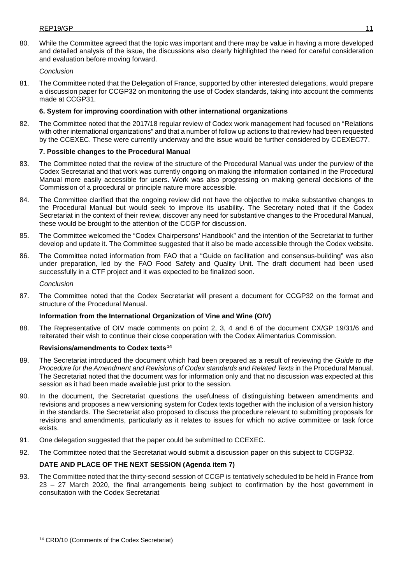80. While the Committee agreed that the topic was important and there may be value in having a more developed and detailed analysis of the issue, the discussions also clearly highlighted the need for careful consideration and evaluation before moving forward.

### *Conclusion*

81. The Committee noted that the Delegation of France, supported by other interested delegations, would prepare a discussion paper for CCGP32 on monitoring the use of Codex standards, taking into account the comments made at CCGP31.

### **6. System for improving coordination with other international organizations**

82. The Committee noted that the 2017/18 regular review of Codex work management had focused on "Relations with other international organizations" and that a number of follow up actions to that review had been requested by the CCEXEC. These were currently underway and the issue would be further considered by CCEXEC77.

### **7. Possible changes to the Procedural Manual**

- 83. The Committee noted that the review of the structure of the Procedural Manual was under the purview of the Codex Secretariat and that work was currently ongoing on making the information contained in the Procedural Manual more easily accessible for users. Work was also progressing on making general decisions of the Commission of a procedural or principle nature more accessible.
- 84. The Committee clarified that the ongoing review did not have the objective to make substantive changes to the Procedural Manual but would seek to improve its usability. The Secretary noted that if the Codex Secretariat in the context of their review, discover any need for substantive changes to the Procedural Manual, these would be brought to the attention of the CCGP for discussion.
- 85. The Committee welcomed the "Codex Chairpersons' Handbook" and the intention of the Secretariat to further develop and update it. The Committee suggested that it also be made accessible through the Codex website.
- 86. The Committee noted information from FAO that a "Guide on facilitation and consensus-building" was also under preparation, led by the FAO Food Safety and Quality Unit. The draft document had been used successfully in a CTF project and it was expected to be finalized soon.

#### *Conclusion*

-

87. The Committee noted that the Codex Secretariat will present a document for CCGP32 on the format and structure of the Procedural Manual.

### **Information from the International Organization of Vine and Wine (OIV)**

88. The Representative of OIV made comments on point 2, 3, 4 and 6 of the document CX/GP 19/31/6 and reiterated their wish to continue their close cooperation with the Codex Alimentarius Commission.

### **Revisions/amendments to Codex texts[14](#page-14-0)**

- 89. The Secretariat introduced the document which had been prepared as a result of reviewing the *Guide to the Procedure for the Amendment and Revisions of Codex standards and Related Texts* in the Procedural Manual. The Secretariat noted that the document was for information only and that no discussion was expected at this session as it had been made available just prior to the session.
- 90. In the document, the Secretariat questions the usefulness of distinguishing between amendments and revisions and proposes a new versioning system for Codex texts together with the inclusion of a version history in the standards. The Secretariat also proposed to discuss the procedure relevant to submitting proposals for revisions and amendments, particularly as it relates to issues for which no active committee or task force exists.
- 91. One delegation suggested that the paper could be submitted to CCEXEC.
- 92. The Committee noted that the Secretariat would submit a discussion paper on this subject to CCGP32.

### **DATE AND PLACE OF THE NEXT SESSION (Agenda item 7)**

93. The Committee noted that the thirty-second session of CCGP is tentatively scheduled to be held in France from 23 – 27 March 2020, the final arrangements being subject to confirmation by the host government in consultation with the Codex Secretariat

<span id="page-14-0"></span><sup>14</sup> CRD/10 (Comments of the Codex Secretariat)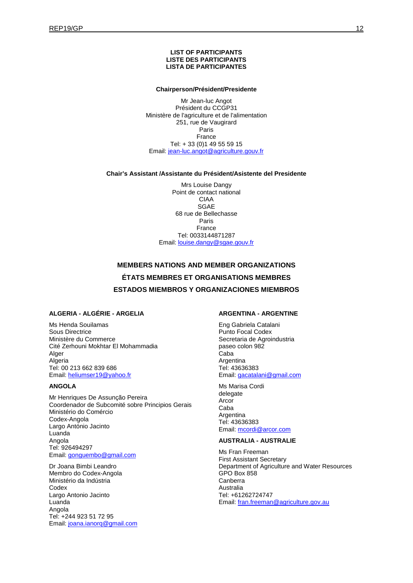#### **LIST OF PARTICIPANTS LISTE DES PARTICIPANTS LISTA DE PARTICIPANTES**

#### **Chairperson/Président/Presidente**

Mr Jean-luc Angot Président du CCGP31 Ministère de l'agriculture et de l'alimentation 251, rue de Vaugirard Paris France Tel: + 33 (0)1 49 55 59 15 Email: [jean-luc.angot@agriculture.gouv.fr](mailto:jean-luc.angot@agriculture.gouv.fr)

#### **Chair's Assistant /Assistante du Président/Asistente del Presidente**

Mrs Louise Dangy Point de contact national CIAA SGAE 68 rue de Bellechasse Paris France Tel: 0033144871287 Email: [louise.dangy@sgae.gouv.fr](mailto:louise.dangy@sgae.gouv.fr)

# **MEMBERS NATIONS AND MEMBER ORGANIZATIONS ÉTATS MEMBRES ET ORGANISATIONS MEMBRES ESTADOS MIEMBROS Y ORGANIZACIONES MIEMBROS**

#### **ALGERIA - ALGÉRIE - ARGELIA**

Ms Henda Souilamas Sous Directrice Ministère du Commerce Cité Zerhouni Mokhtar El Mohammadia Alger Algeria Tel: 00 213 662 839 686 Email: [heliumser19@yahoo.fr](mailto:heliumser19@yahoo.fr)

#### **ANGOLA**

Mr Henriques De Assunção Pereira Coordenador de Subcomité sobre Principios Gerais Ministério do Comércio Codex-Angola Largo António Jacinto Luanda Angola Tel: 926494297 Email: [gonguembo@gmail.com](mailto:gonguembo@gmail.com)

Dr Joana Bimbi Leandro Membro do Codex-Angola Ministério da Indústria **Codex** Largo Antonio Jacinto Luanda Angola Tel: +244 923 51 72 95 Email: [joana.ianorq@gmail.com](mailto:joana.ianorq@gmail.com)

#### **ARGENTINA - ARGENTINE**

Eng Gabriela Catalani Punto Focal Codex Secretaria de Agroindustria paseo colon 982 Caba Argentina Tel: 43636383 Email: [gacatalani@gmail.com](mailto:gacatalani@gmail.com)

#### Ms Marisa Cordi delegate

Arcor Caba Argentina Tel: 43636383 Email: [mcordi@arcor.com](mailto:mcordi@arcor.com)

#### **AUSTRALIA - AUSTRALIE**

Ms Fran Freeman First Assistant Secretary Department of Agriculture and Water Resources GPO Box 858 Canberra Australia Tel: +61262724747 Email: [fran.freeman@agriculture.gov.au](mailto:fran.freeman@agriculture.gov.au)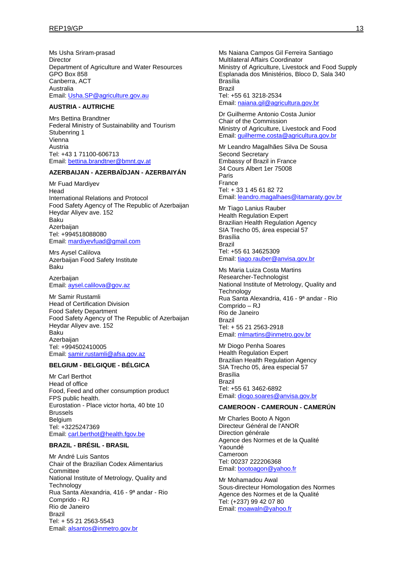Ms Usha Sriram-prasad **Director** Department of Agriculture and Water Resources GPO Box 858 Canberra, ACT Australia Email: [Usha.SP@agriculture.gov.au](mailto:Usha.SP@agriculture.gov.au)

## **AUSTRIA - AUTRICHE**

Mrs Bettina Brandtner Federal Ministry of Sustainability and Tourism Stubenring 1 Vienna Austria Tel: +43 1 71100-606713 Email: [bettina.brandtner@bmnt.gv.at](mailto:bettina.brandtner@bmnt.gv.at)

### **AZERBAIJAN - AZERBAÏDJAN - AZERBAIYÁN**

Mr Fuad Mardiyev Head International Relations and Protocol Food Safety Agency of The Republic of Azerbaijan Heydar Aliyev ave. 152 Baku Azerbaijan Tel: +994518088080 Email: [mardiyevfuad@gmail.com](mailto:mardiyevfuad@gmail.com)

Mrs Aysel Calilova Azerbaijan Food Safety Institute Baku

**Azerbaijan** Email: [aysel.calilova@gov.az](mailto:aysel.calilova@gov.az)

Mr Samir Rustamli Head of Certification Division Food Safety Department Food Safety Agency of The Republic of Azerbaijan Heydar Aliyev ave. 152 Baku **Azerbaijan** Tel: +994502410005 Email: [samir.rustamli@afsa.gov.az](mailto:samir.rustamli@afsa.gov.az)

#### **BELGIUM - BELGIQUE - BÉLGICA**

Mr Carl Berthot Head of office Food, Feed and other consumption product FPS public health. Eurostation - Place victor horta, 40 bte 10 Brussels Belgium Tel: +3225247369 Email: [carl.berthot@health.fgov.be](mailto:carl.berthot@health.fgov.be)

#### **BRAZIL - BRÉSIL - BRASIL**

Mr André Luis Santos Chair of the Brazilian Codex Alimentarius **Committee** National Institute of Metrology, Quality and **Technology** Rua Santa Alexandria, 416 - 9ª andar - Rio Comprido - RJ Rio de Janeiro Brazil Tel: + 55 21 2563-5543 Email: [alsantos@inmetro.gov.br](mailto:alsantos@inmetro.gov.br)

Ms Naiana Campos Gil Ferreira Santiago Multilateral Affairs Coordinator Ministry of Agriculture, Livestock and Food Supply Esplanada dos Ministérios, Bloco D, Sala 340 Brasília Brazil Tel: +55 61 3218-2534 Email: [naiana.gil@agricultura.gov.br](mailto:naiana.gil@agricultura.gov.br)

Dr Guilherme Antonio Costa Junior Chair of the Commission Ministry of Agriculture, Livestock and Food Email: [guilherme.costa@agricultura.gov.br](mailto:guilherme.costa@agricultura.gov.br)

Mr Leandro Magalhães Silva De Sousa Second Secretary Embassy of Brazil in France 34 Cours Albert 1er 75008 Paris France Tel: + 33 1 45 61 82 72 Email: [leandro.magalhaes@itamaraty.gov.br](mailto:leandro.magalhaes@itamaraty.gov.br)

Mr Tiago Lanius Rauber Health Regulation Expert Brazilian Health Regulation Agency SIA Trecho 05, área especial 57 Brasília Brazil Tel: +55 61 34625309 Email: [tiago.rauber@anvisa.gov.br](mailto:tiago.rauber@anvisa.gov.br)

Ms Maria Luiza Costa Martins Researcher-Technologist National Institute of Metrology, Quality and **Technology** Rua Santa Alexandria, 416 - 9ª andar - Rio Comprido – RJ Rio de Janeiro Brazil Tel: + 55 21 2563-2918 Email: [mlmartins@inmetro.gov.br](mailto:mlmartins@inmetro.gov.br)

Mr Diogo Penha Soares Health Regulation Expert Brazilian Health Regulation Agency SIA Trecho 05, área especial 57 Brasília Brazil Tel: +55 61 3462-6892 Email: [diogo.soares@anvisa.gov.br](mailto:diogo.soares@anvisa.gov.br)

#### **CAMEROON - CAMEROUN - CAMERÚN**

Mr Charles Booto A Ngon Directeur Général de l'ANOR Direction générale Agence des Normes et de la Qualité Yaoundé Cameroon Tel: 00237 222206368 Email: [bootoagon@yahoo.fr](mailto:bootoagon@yahoo.fr)

Mr Mohamadou Awal Sous-directeur Homologation des Normes Agence des Normes et de la Qualité Tel: (+237) 99 42 07 80 Email: [moawaln@yahoo.fr](mailto:moawaln@yahoo.fr)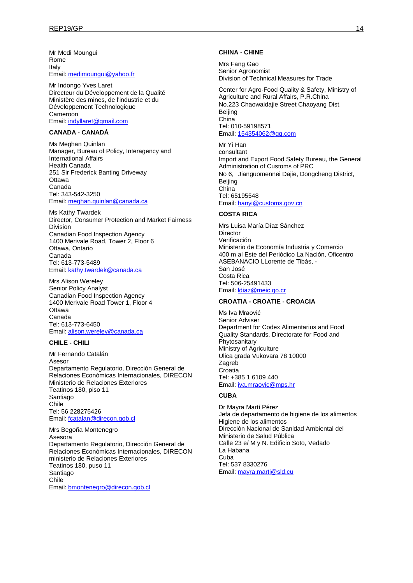Mr Medi Moungui Rome Italy Email: [medimoungui@yahoo.fr](mailto:medimoungui@yahoo.fr)

Mr Indongo Yves Laret Directeur du Développement de la Qualité Ministère des mines, de l'industrie et du Développement Technologique Cameroon Email: [indyllaret@gmail.com](mailto:indyllaret@gmail.com)

#### **CANADA - CANADÁ**

Ms Meghan Quinlan Manager, Bureau of Policy, Interagency and International Affairs Health Canada 251 Sir Frederick Banting Driveway **Ottawa** Canada Tel: 343-542-3250 Email: [meghan.quinlan@canada.ca](mailto:meghan.quinlan@canada.ca)

Ms Kathy Twardek Director, Consumer Protection and Market Fairness Division Canadian Food Inspection Agency 1400 Merivale Road, Tower 2, Floor 6 Ottawa, Ontario Canada Tel: 613-773-5489 Email: [kathy.twardek@canada.ca](mailto:kathy.twardek@canada.ca)

Mrs Alison Wereley Senior Policy Analyst Canadian Food Inspection Agency 1400 Merivale Road Tower 1, Floor 4 Ottawa Canada Tel: 613-773-6450 Email: [alison.wereley@canada.ca](mailto:alison.wereley@canada.ca)

#### **CHILE - CHILI**

Mr Fernando Catalán Asesor Departamento Regulatorio, Dirección General de Relaciones Económicas Internacionales, DIRECON Ministerio de Relaciones Exteriores Teatinos 180, piso 11 Santiago Chile Tel: 56 228275426 Email: [fcatalan@direcon.gob.cl](mailto:fcatalan@direcon.gob.cl)

Mrs Begoña Montenegro Asesora Departamento Regulatorio, Dirección General de Relaciones Económicas Internacionales, DIRECON ministerio de Relaciones Exteriores Teatinos 180, puso 11 Santiago Chile Email: [bmontenegro@direcon.gob.cl](mailto:bmontenegro@direcon.gob.cl)

#### **CHINA - CHINE**

Mrs Fang Gao Senior Agronomist Division of Technical Measures for Trade

Center for Agro-Food Quality & Safety, Ministry of Agriculture and Rural Affairs, P.R.China No.223 Chaowaidajie Street Chaoyang Dist, Beijing China Tel: 010-59198571 Email: [154354062@qq.com](mailto:154354062@qq.com)

Mr Yi Han consultant Import and Export Food Safety Bureau, the General Administration of Customs of PRC No 6. Jianguomennei Daiie, Dongcheng District, Beijing China Tel: 65195548 Email: [hanyi@customs.gov.cn](mailto:hanyi@customs.gov.cn)

#### **COSTA RICA**

Mrs Luisa María Díaz Sánchez Director Verificación Ministerio de Economía Industria y Comercio 400 m al Este del Periódico La Nación, Oficentro ASEBANACIO LLorente de Tibás, - San José Costa Rica Tel: 506-25491433 Email: [ldiaz@meic.go.cr](mailto:ldiaz@meic.go.cr)

#### **CROATIA - CROATIE - CROACIA**

Ms Iva Mraović Senior Adviser Department for Codex Alimentarius and Food Quality Standards, Directorate for Food and Phytosanitary Ministry of Agriculture Ulica grada Vukovara 78 10000 Zagreb Croatia Tel: +385 1 6109 440 Email: [iva.mraovic@mps.hr](mailto:iva.mraovic@mps.hr)

#### **CUBA**

Dr Mayra Martí Pérez Jefa de departamento de higiene de los alimentos Higiene de los alimentos Dirección Nacional de Sanidad Ambiental del Ministerio de Salud Pública Calle 23 e/ M y N. Edificio Soto, Vedado La Habana Cuba Tel: 537 8330276 Email: [mayra.marti@sld.cu](mailto:mayra.marti@sld.cu)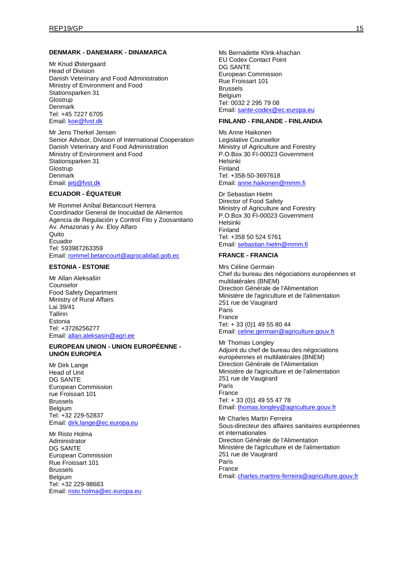#### **DENMARK - DANEMARK - DINAMARCA**

Mr Knud Østergaard Head of Division Danish Veterinary and Food Administration Ministry of Environment and Food Stationsparken 31 **Glostrup** Denmark Tel: +45 7227 6705 Email: [koe@fvst.dk](mailto:koe@fvst.dk)

Mr Jens Therkel Jensen Senior Advisor, Division of International Cooperation Danish Veterinary and Food Administration Ministry of Environment and Food Stationsparken 31 **Glostrup Denmark** Email: [jetj@fvst.dk](mailto:jetj@fvst.dk)

#### **ECUADOR - ÉQUATEUR**

Mr Rommel Aníbal Betancourt Herrera Coordinador General de Inocuidad de Alimentos Agencia de Regulación y Control Fito y Zoosanitario Av. Amazonas y Av. Eloy Alfaro Quito Ecuador Tel: 593987263359 Email: [rommel.betancourt@agrocalidad.gob.ec](mailto:rommel.betancourt@agrocalidad.gob.ec)

#### **ESTONIA - ESTONIE**

Mr Allan Aleksašin Counselor Food Safety Department Ministry of Rural Affairs Lai 39/41 Tallinn Estonia Tel: +3726256277 Email: [allan.aleksasin@agri.ee](mailto:allan.aleksasin@agri.ee)

#### **EUROPEAN UNION - UNION EUROPÉENNE - UNIÓN EUROPEA**

Mr Dirk Lange Head of Unit DG SANTE European Commission rue Froissart 101 Brussels **Belgium** Tel: +32 229-52837 Email: [dirk.lange@ec.europa.eu](mailto:dirk.lange@ec.europa.eu)

Mr Risto Holma Administrator DG SANTE European Commission Rue Froissart 101 Brussels Belgium Tel: +32 229-98683 Email: [risto.holma@ec.europa.eu](mailto:risto.holma@ec.europa.eu) Ms Bernadette Klink-khachan EU Codex Contact Point DG SANTE European Commission Rue Froissart 101 Brussels **Belgium** Tel: 0032 2 295 79 08 Email: [sante-codex@ec.europa.eu](mailto:sante-codex@ec.europa.eu)

### **FINLAND - FINLANDE - FINLANDIA**

Ms Anne Haikonen Legislative Counsellor Ministry of Agriculture and Forestry P.O.Box 30 FI-00023 Government Helsinki Finland Tel: +358-50-3697618 Email: [anne.haikonen@mmm.fi](mailto:anne.haikonen@mmm.fi)

Dr Sebastian Hielm Director of Food Safety Ministry of Agriculture and Forestry P.O.Box 30 FI-00023 Government Helsinki Finland Tel: +358 50 524 5761 Email: [sebastian.hielm@mmm.fi](mailto:sebastian.hielm@mmm.fi)

#### **FRANCE - FRANCIA**

Mrs Céline Germain Chef du bureau des négociations européennes et multilatérales (BNEM) Direction Générale de l'Alimentation Ministère de l'agriculture et de l'alimentation 251 rue de Vaugirard Paris France Tel: + 33 (0)1 49 55 80 44 Email: [celine.germain@agriculture.gouv.fr](mailto:celine.germain@agriculture.gouv.fr)

Mr Thomas Longley Adjoint du chef de bureau des négociations européennes et multilatérales (BNEM) Direction Générale de l'Alimentation Ministère de l'agriculture et de l'alimentation 251 rue de Vaugirard Paris France Tel: + 33 (0)1 49 55 47 78 Email: [thomas.longley@agriculture.gouv.fr](mailto:thomas.longley@agriculture.gouv.fr)

Mr Charles Martin Ferreira Sous-directeur des affaires sanitaires européennes et internationales Direction Générale de l'Alimentation Ministère de l'agriculture et de l'alimentation 251 rue de Vaugirard Paris France Email: [charles.martins-ferreira@agriculture.gouv.fr](mailto:charles.martins-ferreira@agriculture.gouv.fr)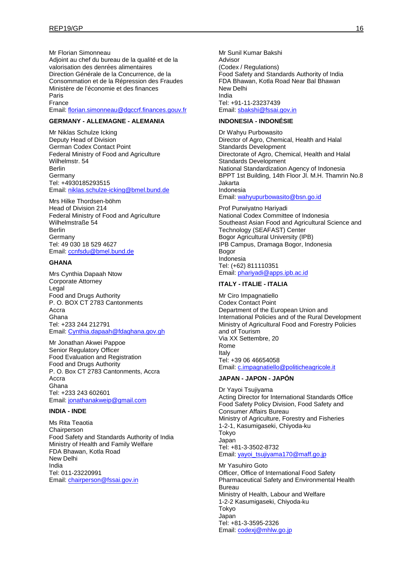Mr Florian Simonneau Adjoint au chef du bureau de la qualité et de la valorisation des denrées alimentaires Direction Générale de la Concurrence, de la Consommation et de la Répression des Fraudes Ministère de l'économie et des finances Paris France Email: [florian.simonneau@dgccrf.finances.gouv.fr](mailto:florian.simonneau@dgccrf.finances.gouv.fr)

#### **GERMANY - ALLEMAGNE - ALEMANIA**

Mr Niklas Schulze Icking Deputy Head of Division German Codex Contact Point Federal Ministry of Food and Agriculture Wilhelmstr. 54 Berlin **Germany** Tel: +4930185293515 Email: [niklas.schulze-icking@bmel.bund.de](mailto:niklas.schulze-icking@bmel.bund.de)

Mrs Hilke Thordsen-böhm Head of Division 214 Federal Ministry of Food and Agriculture Wilhelmstraße 54 Berlin **Germany** Tel: 49 030 18 529 4627 Email: [ccnfsdu@bmel.bund.de](mailto:ccnfsdu@bmel.bund.de)

#### **GHANA**

Mrs Cynthia Dapaah Ntow Corporate Attorney Legal Food and Drugs Authority P. O. BOX CT 2783 Cantonments Accra Ghana Tel: +233 244 212791 Email: [Cynthia.dapaah@fdaghana.gov.gh](mailto:Cynthia.dapaah@fdaghana.gov.gh)

Mr Jonathan Akwei Pappoe Senior Regulatory Officer Food Evaluation and Registration Food and Drugs Authority P. O. Box CT 2783 Cantonments, Accra Accra Ghana Tel: +233 243 602601 Email: [jonathanakweip@gmail.com](mailto:jonathanakweip@gmail.com)

#### **INDIA - INDE**

Ms Rita Teaotia **Chairperson** Food Safety and Standards Authority of India Ministry of Health and Family Welfare FDA Bhawan, Kotla Road New Delhi India Tel: 011-23220991 Email: [chairperson@fssai.gov.in](mailto:chairperson@fssai.gov.in)

Mr Sunil Kumar Bakshi Advisor (Codex / Regulations) Food Safety and Standards Authority of India FDA Bhawan, Kotla Road Near Bal Bhawan New Delhi India Tel: +91-11-23237439 Email: [sbakshi@fssai.gov.in](mailto:sbakshi@fssai.gov.in)

#### **INDONESIA - INDONÉSIE**

Dr Wahyu Purbowasito Director of Agro, Chemical, Health and Halal Standards Development Directorate of Agro, Chemical, Health and Halal Standards Development National Standardization Agency of Indonesia BPPT 1st Building, 14th Floor Jl. M.H. Thamrin No.8 Jakarta Indonesia Email: [wahyupurbowasito@bsn.go.id](mailto:wahyupurbowasito@bsn.go.id)

Prof Purwiyatno Hariyadi National Codex Committee of Indonesia Southeast Asian Food and Agricultural Science and Technology (SEAFAST) Center Bogor Agricultural University (IPB) IPB Campus, Dramaga Bogor, Indonesia Bogor Indonesia Tel: (+62) 811110351 Email: [phariyadi@apps.ipb.ac.id](mailto:phariyadi@apps.ipb.ac.id)

### **ITALY - ITALIE - ITALIA**

Mr Ciro Impagnatiello Codex Contact Point Department of the European Union and International Policies and of the Rural Development Ministry of Agricultural Food and Forestry Policies and of Tourism Via XX Settembre, 20 Rome Italy Tel: +39 06 46654058 Email: [c.impagnatiello@politicheagricole.it](mailto:c.impagnatiello@politicheagricole.it)

#### **JAPAN - JAPON - JAPÓN**

Dr Yayoi Tsujiyama Acting Director for International Standards Office Food Safety Policy Division, Food Safety and Consumer Affairs Bureau Ministry of Agriculture, Forestry and Fisheries 1-2-1, Kasumigaseki, Chiyoda-ku Tokyo Japan Tel: +81-3-3502-8732 Email: [yayoi\\_tsujiyama170@maff.go.jp](mailto:yayoi_tsujiyama170@maff.go.jp)

Mr Yasuhiro Goto Officer, Office of International Food Safety Pharmaceutical Safety and Environmental Health Bureau Ministry of Health, Labour and Welfare 1-2-2 Kasumigaseki, Chiyoda-ku Tokyo Japan Tel: +81-3-3595-2326 Email: [codexj@mhlw.go.jp](mailto:codexj@mhlw.go.jp)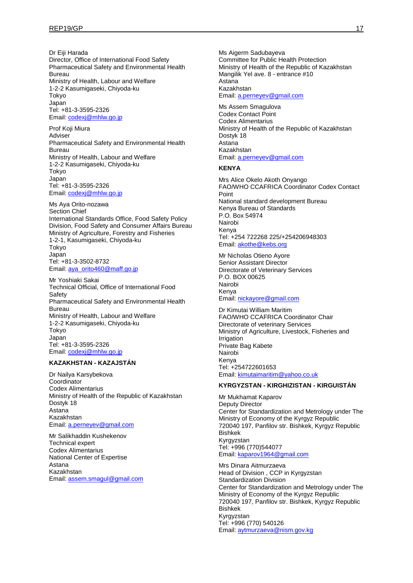Dr Eiii Harada Director, Office of International Food Safety Pharmaceutical Safety and Environmental Health Bureau Ministry of Health, Labour and Welfare 1-2-2 Kasumigaseki, Chiyoda-ku Tokyo Japan Tel: +81-3-3595-2326 Email: [codexj@mhlw.go.jp](mailto:codexj@mhlw.go.jp)

Prof Koji Miura Adviser Pharmaceutical Safety and Environmental Health Bureau Ministry of Health, Labour and Welfare 1-2-2 Kasumigaseki, Chiyoda-ku Tokyo Japan Tel: +81-3-3595-2326 Email: [codexj@mhlw.go.jp](mailto:codexj@mhlw.go.jp)

Ms Aya Orito-nozawa Section Chief International Standards Office, Food Safety Policy Division, Food Safety and Consumer Affairs Bureau Ministry of Agriculture, Forestry and Fisheries 1-2-1, Kasumigaseki, Chiyoda-ku Tokyo Japan Tel: +81-3-3502-8732 Email: [aya\\_orito460@maff.go.jp](mailto:aya_orito460@maff.go.jp)

Mr Yoshiaki Sakai Technical Official, Office of International Food **Safety** Pharmaceutical Safety and Environmental Health Bureau Ministry of Health, Labour and Welfare 1-2-2 Kasumigaseki, Chiyoda-ku Tokyo Japan Tel: +81-3-3595-2326 Email: [codexj@mhlw.go.jp](mailto:codexj@mhlw.go.jp)

#### **KAZAKHSTAN - KAZAJSTÁN**

Dr Nailya Karsybekova **Coordinator** Codex Alimentarius Ministry of Health of the Republic of Kazakhstan Dostyk 18 Astana Kazakhstan Email: [a.perneyev@gmail.com](mailto:a.perneyev@gmail.com)

Mr Salikhaddin Kushekenov Technical expert Codex Alimentarius National Center of Expertise Astana Kazakhstan Email: [assem.smagul@gmail.com](mailto:assem.smagul@gmail.com) Ms Aigerm Sadubayeva Committee for Public Health Protection Ministry of Health of the Republic of Kazakhstan Mangilik Yel ave. 8 - entrance #10 Astana Kazakhstan

Email: [a.perneyev@gmail.com](mailto:a.perneyev@gmail.com)

Ms Assem Smagulova Codex Contact Point Codex Alimentarius Ministry of Health of the Republic of Kazakhstan Dostyk 18 Astana Kazakhstan Email: [a.perneyev@gmail.com](mailto:a.perneyev@gmail.com)

#### **KENYA**

Mrs Alice Okelo Akoth Onyango FAO/WHO CCAFRICA Coordinator Codex Contact Point National standard development Bureau Kenya Bureau of Standards P.O. Box 54974 Nairobi Kenya Tel: +254 722268 225/+254206948303 Email: [akothe@kebs.org](mailto:akothe@kebs.org)

Mr Nicholas Otieno Ayore Senior Assistant Director Directorate of Veterinary Services P.O. BOX 00625 Nairobi Kenya Email: [nickayore@gmail.com](mailto:nickayore@gmail.com)

Dr Kimutai William Maritim FAO/WHO CCAFRICA Coordinator Chair Directorate of veterinary Services Ministry of Agriculture, Livestock, Fisheries and Irrigation Private Bag Kabete Nairobi Kenya Tel: +254722601653 Email: [kimutaimaritim@yahoo.co.uk](mailto:kimutaimaritim@yahoo.co.uk)

### **KYRGYZSTAN - KIRGHIZISTAN - KIRGUISTÁN**

Mr Mukhamat Kaparov Deputy Director Center for Standardization and Metrology under The Ministry of Economy of the Kyrgyz Republic 720040 197, Panfilov str. Bishkek, Kyrgyz Republic Bishkek Kyrgyzstan Tel: +996 (770)544077 Email: [kaparov1964@gmail.com](mailto:kaparov1964@gmail.com)

Mrs Dinara Aitmurzaeva Head of Division , CCP in Kyrgyzstan Standardization Division Center for Standardization and Metrology under The Ministry of Economy of the Kyrgyz Republic 720040 197, Panfilov str. Bishkek, Kyrgyz Republic Bishkek Kyrgyzstan Tel: +996 (770) 540126 Email: [aytmurzaeva@nism.gov.kg](mailto:aytmurzaeva@nism.gov.kg)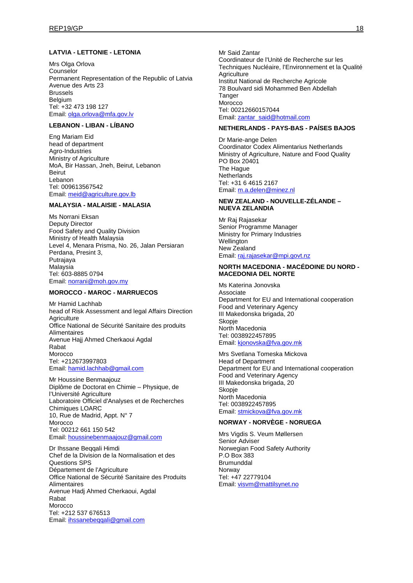#### **LATVIA - LETTONIE - LETONIA**

Mrs Olga Orlova Counselor Permanent Representation of the Republic of Latvia Avenue des Arts 23 Brussels Belgium Tel: +32 473 198 127 Email: [olga.orlova@mfa.gov.lv](mailto:olga.orlova@mfa.gov.lv)

### **LEBANON - LIBAN - LÍBANO**

Eng Mariam Eid head of department Agro-Industries Ministry of Agriculture MoA, Bir Hassan, Jneh, Beirut, Lebanon Beirut Lebanon Tel: 009613567542 Email: [meid@agriculture.gov.lb](mailto:meid@agriculture.gov.lb)

#### **MALAYSIA - MALAISIE - MALASIA**

Ms Norrani Eksan Deputy Director Food Safety and Quality Division Ministry of Health Malaysia Level 4, Menara Prisma, No. 26, Jalan Persiaran Perdana, Presint 3, Putrajaya Malaysia Tel: 603-8885 0794 Email: [norrani@moh.gov.my](mailto:norrani@moh.gov.my)

#### **MOROCCO - MAROC - MARRUECOS**

Mr Hamid Lachhab head of Risk Assessment and legal Affairs Direction **Agriculture** Office National de Sécurité Sanitaire des produits Alimentaires Avenue Hajj Ahmed Cherkaoui Agdal Rabat Morocco Tel: +212673997803 Email: [hamid.lachhab@gmail.com](mailto:hamid.lachhab@gmail.com)

Mr Houssine Benmaajouz Diplôme de Doctorat en Chimie – Physique, de l'Université Agriculture Laboratoire Officiel d'Analyses et de Recherches Chimiques LOARC 10, Rue de Madrid, Appt. N° 7 Morocco Tel: 00212 661 150 542 Email: [houssinebenmaajouz@gmail.com](mailto:houssinebenmaajouz@gmail.com)

Dr Ihssane Beqqali Himdi Chef de la Division de la Normalisation et des Questions SPS Département de l'Agriculture Office National de Sécurité Sanitaire des Produits **Alimentaires** Avenue Hadj Ahmed Cherkaoui, Agdal Rabat Morocco Tel: +212 537 676513 Email: [ihssanebeqqali@gmail.com](mailto:ihssanebeqqali@gmail.com)

Mr Said Zantar Coordinateur de l'Unité de Recherche sur les Techniques Nucléaire, l'Environnement et la Qualité **Agriculture** Institut National de Recherche Agricole 78 Boulvard sidi Mohammed Ben Abdellah **Tanger Morocco** Tel: 00212660157044 Email: [zantar\\_said@hotmail.com](mailto:zantar_said@hotmail.com)

#### **NETHERLANDS - PAYS-BAS - PAÍSES BAJOS**

Dr Marie-ange Delen Coordinator Codex Alimentarius Netherlands Ministry of Agriculture, Nature and Food Quality PO Box 20401 The Hague **Netherlands** Tel: +31 6 4615 2167 Email: [m.a.delen@minez.nl](mailto:m.a.delen@minez.nl)

#### **NEW ZEALAND - NOUVELLE-ZÉLANDE – NUEVA ZELANDIA**

Mr Raj Rajasekar Senior Programme Manager Ministry for Primary Industries **Wellington** New Zealand Email: [raj.rajasekar@mpi.govt.nz](mailto:raj.rajasekar@mpi.govt.nz)

#### **NORTH MACEDONIA - MACÉDOINE DU NORD - MACEDONIA DEL NORTE**

Ms Katerina Jonovska Associate Department for EU and International cooperation Food and Veterinary Agency III Makedonska brigada, 20 Skopje North Macedonia Tel: 0038922457895 Email: [kjonovska@fva.gov.mk](mailto:kjonovska@fva.gov.mk)

Mrs Svetlana Tomeska Mickova Head of Department Department for EU and International cooperation Food and Veterinary Agency III Makedonska brigada, 20 Skopje North Macedonia Tel: 0038922457895 Email: [stmickova@fva.gov.mk](mailto:stmickova@fva.gov.mk)

#### **NORWAY - NORVÈGE - NORUEGA**

Mrs Vigdis S. Veum Møllersen Senior Adviser Norwegian Food Safety Authority P.O Box 383 **Brumunddal Norway** Tel: +47 22779104 Email: [visvm@mattilsynet.no](mailto:visvm@mattilsynet.no)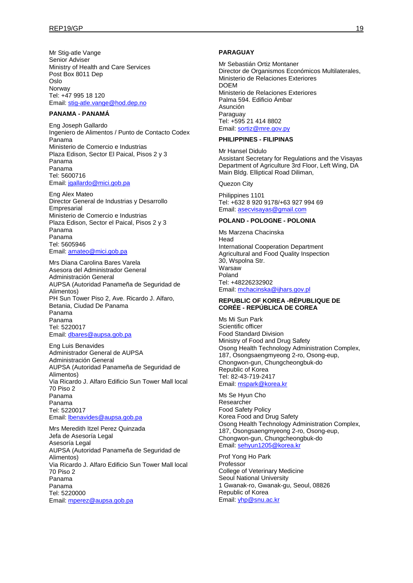Mr Stig-atle Vange Senior Adviser Ministry of Health and Care Services Post Box 8011 Dep Oslo Norway Tel: +47 995 18 120 Email: [stig-atle.vange@hod.dep.no](mailto:stig-atle.vange@hod.dep.no)

#### **PANAMA - PANAMÁ**

Eng Joseph Gallardo Ingeniero de Alimentos / Punto de Contacto Codex Panama Ministerio de Comercio e Industrias Plaza Edison, Sector El Paical, Pisos 2 y 3 Panama Panama Tel: 5600716 Email: [jgallardo@mici.gob.pa](mailto:jgallardo@mici.gob.pa)

Eng Alex Mateo Director General de Industrias y Desarrollo **Empresarial** Ministerio de Comercio e Industrias Plaza Edison, Sector el Paical, Pisos 2 y 3 Panama Panama Tel: 5605946 Email: [amateo@mici.gob.pa](mailto:amateo@mici.gob.pa)

Mrs Diana Carolina Bares Varela Asesora del Administrador General Administración General AUPSA (Autoridad Panameña de Seguridad de Alimentos) PH Sun Tower Piso 2, Ave. Ricardo J. Alfaro, Betania, Ciudad De Panama Panama Panama Tel: 5220017 Email: [dbares@aupsa.gob.pa](mailto:dbares@aupsa.gob.pa)

Eng Luis Benavides Administrador General de AUPSA Administración General AUPSA (Autoridad Panameña de Seguridad de Alimentos) Via Ricardo J. Alfaro Edificio Sun Tower Mall local 70 Piso 2 Panama Panama Tel: 5220017 Email: [lbenavides@aupsa.gob.pa](mailto:lbenavides@aupsa.gob.pa)

Mrs Meredith Itzel Perez Quinzada Jefa de Asesoría Legal Asesoría Legal AUPSA (Autoridad Panameña de Seguridad de Alimentos) Via Ricardo J. Alfaro Edificio Sun Tower Mall local 70 Piso 2 Panama Panama Tel: 5220000 Email: [mperez@aupsa.gob.pa](mailto:mperez@aupsa.gob.pa)

#### **PARAGUAY**

Mr Sebastián Ortiz Montaner Director de Organismos Económicos Multilaterales, Ministerio de Relaciones Exteriores DOEM Ministerio de Relaciones Exteriores Palma 594. Edificio Ámbar Asunción Paraguay Tel: +595 21 414 8802 Email: [sortiz@mre.gov.py](mailto:sortiz@mre.gov.py)

#### **PHILIPPINES - FILIPINAS**

Mr Hansel Didulo Assistant Secretary for Regulations and the Visayas Department of Agriculture 3rd Floor, Left Wing, DA Main Bldg. Elliptical Road Diliman,

Quezon City

Philippines 1101 Tel: +632 8 920 9178/+63 927 994 69 Email: [asecvisayas@gmail.com](mailto:asecvisayas@gmail.com)

#### **POLAND - POLOGNE - POLONIA**

Ms Marzena Chacinska Head International Cooperation Department Agricultural and Food Quality Inspection 30, Wspolna Str. Warsaw Poland Tel: +48226232902 Email: [mchacinska@ijhars.gov.pl](mailto:mchacinska@ijhars.gov.pl)

#### **REPUBLIC OF KOREA -RÉPUBLIQUE DE CORÉE - REPÚBLICA DE COREA**

Ms Mi Sun Park Scientific officer Food Standard Division Ministry of Food and Drug Safety Osong Health Technology Administration Complex, 187, Osongsaengmyeong 2-ro, Osong-eup, Chongwon-gun, Chungcheongbuk-do Republic of Korea Tel: 82-43-719-2417 Email: [mspark@korea.kr](mailto:mspark@korea.kr)

Ms Se Hyun Cho Researcher Food Safety Policy Korea Food and Drug Safety Osong Health Technology Administration Complex, 187, Osongsaengmyeong 2-ro, Osong-eup, Chongwon-gun, Chungcheongbuk-do Email: [sehyun1205@korea.kr](mailto:sehyun1205@korea.kr)

Prof Yong Ho Park Professor College of Veterinary Medicine Seoul National University 1 Gwanak-ro, Gwanak-gu, Seoul, 08826 Republic of Korea Email: [yhp@snu.ac.kr](mailto:yhp@snu.ac.kr)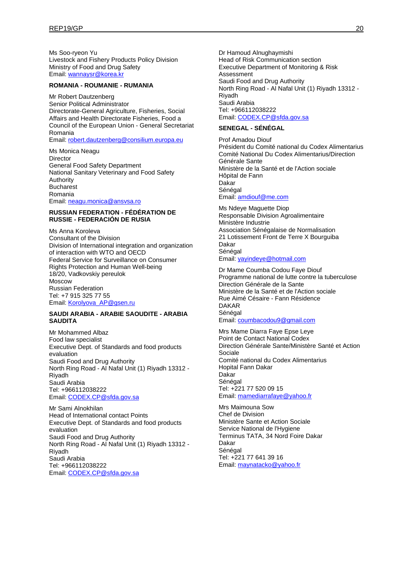Ms Soo-ryeon Yu Livestock and Fishery Products Policy Division Ministry of Food and Drug Safety Email: [wannaysr@korea.kr](mailto:wannaysr@korea.kr)

#### **ROMANIA - ROUMANIE - RUMANIA**

Mr Robert Dautzenberg Senior Political Administrator Directorate-General Agriculture, Fisheries, Social Affairs and Health Directorate Fisheries, Food a Council of the European Union - General Secretariat Romania

Email: [robert.dautzenberg@consilium.europa.eu](mailto:robert.dautzenberg@consilium.europa.eu)

Ms Monica Neagu Director General Food Safety Department National Sanitary Veterinary and Food Safety Authority Bucharest Romania Email: [neagu.monica@ansvsa.ro](mailto:neagu.monica@ansvsa.ro)

#### **RUSSIAN FEDERATION - FÉDÉRATION DE RUSSIE - FEDERACIÓN DE RUSIA**

Ms Anna Koroleva Consultant of the Division Division of International integration and organization of interaction with WTO and OECD Federal Service for Surveillance on Consumer Rights Protection and Human Well-being 18/20, Vadkovskiy pereulok Moscow Russian Federation Tel: +7 915 325 77 55 Email: [Korolyova\\_AP@gsen.ru](mailto:Korolyova_AP@gsen.ru)

### **SAUDI ARABIA - ARABIE SAOUDITE - ARABIA SAUDITA**

Mr Mohammed Albaz Food law specialist Executive Dept. of Standards and food products evaluation Saudi Food and Drug Authority North Ring Road - Al Nafal Unit (1) Riyadh 13312 - Riyadh Saudi Arabia Tel: +966112038222 Email: [CODEX.CP@sfda.gov.sa](mailto:CODEX.CP@sfda.gov.sa)

Mr Sami Alnokhilan Head of International contact Points Executive Dept. of Standards and food products evaluation Saudi Food and Drug Authority North Ring Road - Al Nafal Unit (1) Riyadh 13312 - Riyadh Saudi Arabia Tel: +966112038222 Email: [CODEX.CP@sfda.gov.sa](mailto:CODEX.CP@sfda.gov.sa)

Dr Hamoud Alnughaymishi Head of Risk Communication section Executive Department of Monitoring & Risk Assessment Saudi Food and Drug Authority North Ring Road - Al Nafal Unit (1) Riyadh 13312 - Riyadh Saudi Arabia Tel: +966112038222 Email: [CODEX.CP@sfda.gov.sa](mailto:CODEX.CP@sfda.gov.sa)

### **SENEGAL - SÉNÉGAL**

Prof Amadou Diouf Président du Comité national du Codex Alimentarius Comité National Du Codex Alimentarius/Direction Générale Sante Ministère de la Santé et de l'Action sociale Hôpital de Fann Dakar Sénégal Email: [amdiouf@me.com](mailto:amdiouf@me.com)

Ms Ndeye Maguette Diop Responsable Division Agroalimentaire Ministère Industrie Association Sénégalaise de Normalisation 21 Lotissement Front de Terre X Bourguiba Dakar Sénégal Email: [yayindeye@hotmail.com](mailto:yayindeye@hotmail.com)

Dr Mame Coumba Codou Faye Diouf Programme national de lutte contre la tuberculose Direction Générale de la Sante Ministère de la Santé et de l'Action sociale Rue Aimé Césaire - Fann Résidence DAKAR Sénégal Email: [coumbacodou9@gmail.com](mailto:coumbacodou9@gmail.com)

Mrs Mame Diarra Faye Epse Leye Point de Contact National Codex Direction Générale Sante/Ministère Santé et Action Sociale Comité national du Codex Alimentarius Hopital Fann Dakar Dakar Sénégal Tel: +221 77 520 09 15 Email: [mamediarrafaye@yahoo.fr](mailto:mamediarrafaye@yahoo.fr)

Mrs Maimouna Sow Chef de Division Ministère Sante et Action Sociale Service National de l'Hygiene Terminus TATA, 34 Nord Foire Dakar Dakar Sénégal Tel: +221 77 641 39 16 Email: [maynatacko@yahoo.fr](mailto:maynatacko@yahoo.fr)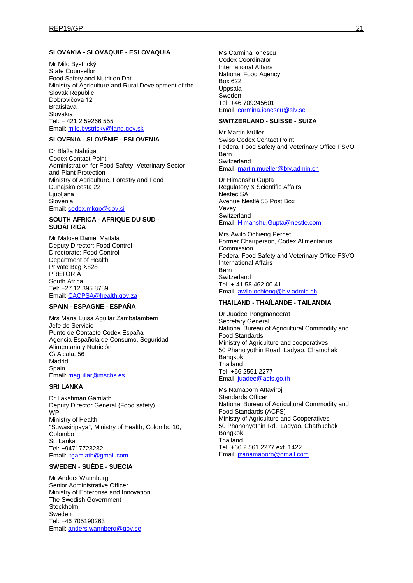#### **SLOVAKIA - SLOVAQUIE - ESLOVAQUIA**

Mr Milo Bystrický State Counsellor Food Safety and Nutrition Dpt. Ministry of Agriculture and Rural Development of the Slovak Republic Dobrovičova 12 Bratislava Slovakia Tel: + 421 2 59266 555 Email: [milo.bystricky@land.gov.sk](mailto:milo.bystricky@land.gov.sk)

### **SLOVENIA - SLOVÉNIE - ESLOVENIA**

Dr Blaža Nahtigal Codex Contact Point Administration for Food Safety, Veterinary Sector and Plant Protection Ministry of Agriculture, Forestry and Food Dunajska cesta 22 Ljubljana Slovenia Email: [codex.mkgp@gov.si](mailto:codex.mkgp@gov.si)

#### **SOUTH AFRICA - AFRIQUE DU SUD - SUDÁFRICA**

Mr Malose Daniel Matlala Deputy Director: Food Control Directorate: Food Control Department of Health Private Bag X828 PRETORIA South Africa Tel: +27 12 395 8789 Email: [CACPSA@health.gov.za](mailto:CACPSA@health.gov.za)

#### **SPAIN - ESPAGNE - ESPAÑA**

Mrs Maria Luisa Aguilar Zambalamberri Jefe de Servicio Punto de Contacto Codex España Agencia Española de Consumo, Seguridad Alimentaria y Nutrición C\ Alcala, 56 Madrid Spain Email: [maguilar@mscbs.es](mailto:maguilar@mscbs.es)

#### **SRI LANKA**

Dr Lakshman Gamlath Deputy Director General (Food safety) **WP** Ministry of Health "Suwasiripaya", Ministry of Health, Colombo 10, Colombo Sri Lanka Tel: +94717723232 Email: **Itgamlath@gmail.com** 

### **SWEDEN - SUÈDE - SUECIA**

Mr Anders Wannberg Senior Administrative Officer Ministry of Enterprise and Innovation The Swedish Government Stockholm Sweden Tel: +46 705190263 Email: [anders.wannberg@gov.se](mailto:anders.wannberg@gov.se)

Ms Carmina Ionescu Codex Coordinator International Affairs National Food Agency Box 622 Uppsala Sweden Tel: +46 709245601 Email: [carmina.ionescu@slv.se](mailto:carmina.ionescu@slv.se)

### **SWITZERLAND - SUISSE - SUIZA**

Mr Martin Müller Swiss Codex Contact Point Federal Food Safety and Veterinary Office FSVO Bern **Switzerland** Email: [martin.mueller@blv.admin.ch](mailto:martin.mueller@blv.admin.ch)

Dr Himanshu Gupta Regulatory & Scientific Affairs Nestec SA Avenue Nestlé 55 Post Box Vevey **Switzerland** Email: [Himanshu.Gupta@nestle.com](mailto:Himanshu.Gupta@nestle.com)

Mrs Awilo Ochieng Pernet Former Chairperson, Codex Alimentarius Commission Federal Food Safety and Veterinary Office FSVO International Affairs Bern **Switzerland** Tel: + 41 58 462 00 41 Email: [awilo.ochieng@blv.admin.ch](mailto:awilo.ochieng@blv.admin.ch)

#### **THAILAND - THAÏLANDE - TAILANDIA**

Dr Juadee Pongmaneerat Secretary General National Bureau of Agricultural Commodity and Food Standards Ministry of Agriculture and cooperatives 50 Phaholyothin Road, Ladyao, Chatuchak Bangkok **Thailand** Tel: +66 2561 2277 Email: [juadee@acfs.go.th](mailto:juadee@acfs.go.th)

Ms Namaporn Attaviroj Standards Officer National Bureau of Agricultural Commodity and Food Standards (ACFS) Ministry of Agriculture and Cooperatives 50 Phahonyothin Rd., Ladyao, Chathuchak Bangkok **Thailand** Tel: +66 2 561 2277 ext. 1422 Email: [jzanamaporn@gmail.com](mailto:jzanamaporn@gmail.com)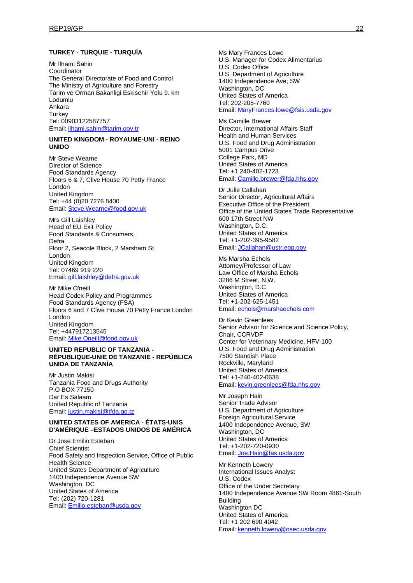#### **TURKEY - TURQUIE - TURQUÍA**

Mr İlhami Sahin Coordinator The General Directorate of Food and Control The Ministry of Agriculture and Forestry Tarim ve Orman Bakanligi Eskisehir Yolu 9. km Lodumlu Ankara **Turkey** Tel: 00903122587757 Email: [ilhami.sahin@tarim.gov.tr](mailto:ilhami.sahin@tarim.gov.tr)

#### **UNITED KINGDOM - ROYAUME-UNI - REINO UNIDO**

Mr Steve Wearne Director of Science Food Standards Agency Floors 6 & 7, Clive House 70 Petty France London United Kingdom Tel: +44 (0)20 7276 8400 Email: [Steve.Wearne@food.gov.uk](mailto:Steve.Wearne@food.gov.uk)

Mrs Gill Laishley Head of EU Exit Policy Food Standards & Consumers, Defra Floor 2, Seacole Block, 2 Marsham St London United Kingdom Tel: 07469 919 220 Email: [gill.laishley@defra.gov.uk](mailto:gill.laishley@defra.gov.uk)

Mr Mike O'neill Head Codex Policy and Programmes Food Standards Agency (FSA) Floors 6 and 7 Clive House 70 Petty France London London United Kingdom Tel: +447917213545 Email: [Mike.Oneill@food.gov.uk](mailto:Mike.Oneill@food.gov.uk)

#### **UNITED REPUBLIC OF TANZANIA - RÉPUBLIQUE-UNIE DE TANZANIE - REPÚBLICA UNIDA DE TANZANÍA**

Mr Justin Makisi Tanzania Food and Drugs Authority P.O BOX 77150 Dar Es Salaam United Republic of Tanzania Email: [justin.makisi@tfda.go.tz](mailto:justin.makisi@tfda.go.tz)

#### **UNITED STATES OF AMERICA - ÉTATS-UNIS D'AMÉRIQUE –ESTADOS UNIDOS DE AMÉRICA**

Dr Jose Emilio Esteban Chief Scientist Food Safety and Inspection Service, Office of Public Health Science United States Department of Agriculture 1400 Independence Avenue SW Washington, DC United States of America Tel: (202) 720-1281 Email: [Emilio.esteban@usda.gov](mailto:Emilio.esteban@usda.gov)

Ms Mary Frances Lowe U.S. Manager for Codex Alimentarius U.S. Codex Office U.S. Department of Agriculture 1400 Independence Ave; SW Washington, DC United States of America Tel: 202-205-7760 Email: [MaryFrances.lowe@fsis.usda.gov](mailto:MaryFrances.lowe@fsis.usda.gov)

Ms Camille Brewer Director, International Affairs Staff Health and Human Services U.S. Food and Drug Administration 5001 Campus Drive College Park, MD United States of America Tel: +1 240-402-1723 Email: [Camille.brewer@fda.hhs.gov](mailto:Camille.brewer@fda.hhs.gov)

Dr Julie Callahan Senior Director, Agricultural Affairs Executive Office of the President Office of the United States Trade Representative 600 17th Street NW Washington, D.C. United States of America Tel: +1-202-395-9582 Email: [JCallahan@ustr.eop.gov](mailto:JCallahan@ustr.eop.gov)

Ms Marsha Echols Attorney/Professor of Law Law Office of Marsha Echols 3286 M Street, N.W. Washington, D.C United States of America Tel: +1-202-625-1451 Email: [echols@marshaechols.com](mailto:echols@marshaechols.com)

Dr Kevin Greenlees Senior Advisor for Science and Science Policy, Chair, CCRVDF Center for Veterinary Medicine, HFV-100 U.S. Food and Drug Administration 7500 Standish Place Rockville, Maryland United States of America Tel: +1-240-402-0638 Email: [kevin.greenlees@fda.hhs.gov](mailto:kevin.greenlees@fda.hhs.gov)

Mr Joseph Hain Senior Trade Advisor U.S. Department of Agriculture Foreign Agricultural Service 1400 Independence Avenue, SW Washington, DC United States of America Tel: +1-202-720-0930 Email: [Joe.Hain@fas.usda.gov](mailto:Joe.Hain@fas.usda.gov)

Mr Kenneth Lowery International Issues Analyst U.S. Codex Office of the Under Secretary 1400 Independence Avenue SW Room 4861-South Building Washington DC United States of America Tel: +1 202 690 4042 Email: [kenneth.lowery@osec.usda.gov](mailto:kenneth.lowery@osec.usda.gov)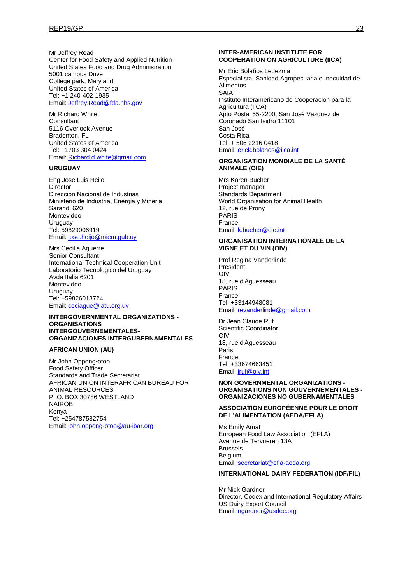Mr Jeffrey Read Center for Food Safety and Applied Nutrition United States Food and Drug Administration 5001 campus Drive College park, Maryland United States of America Tel: +1 240-402-1935 Email: [Jeffrey.Read@fda.hhs.gov](mailto:Jeffrey.Read@fda.hhs.gov)

Mr Richard White Consultant 5116 Overlook Avenue Bradenton, FL United States of America Tel: +1703 304 0424 Email: [Richard.d.white@gmail.com](mailto:Richard.d.white@gmail.com)

#### **URUGUAY**

Eng Jose Luis Heijo **Director** Direccion Nacional de Industrias Ministerio de Industria, Energia y Mineria Sarandi 620 Montevideo Uruguay Tel: 59829006919 Email: [jose.heijo@miem.gub.uy](mailto:jose.heijo@miem.gub.uy)

Mrs Cecilia Aguerre Senior Consultant International Technical Cooperation Unit Laboratorio Tecnologico del Uruguay Avda Italia 6201 Montevideo Uruguay Tel: +59826013724 Email: [ceciague@latu.org.uy](mailto:ceciague@latu.org.uy)

#### **INTERGOVERNMENTAL ORGANIZATIONS - ORGANISATIONS INTERGOUVERNEMENTALES-ORGANIZACIONES INTERGUBERNAMENTALES**

#### **AFRICAN UNION (AU)**

Mr John Oppong-otoo Food Safety Officer Standards and Trade Secretariat AFRICAN UNION INTERAFRICAN BUREAU FOR ANIMAL RESOURCES P. O. BOX 30786 WESTLAND NAIROBI Kenya Tel: +254787582754 Email: [john.oppong-otoo@au-ibar.org](mailto:john.oppong-otoo@au-ibar.org)

#### **INTER-AMERICAN INSTITUTE FOR COOPERATION ON AGRICULTURE (IICA)**

Mr Eric Bolaños Ledezma Especialista, Sanidad Agropecuaria e Inocuidad de Alimentos SAIA Instituto Interamericano de Cooperación para la Agricultura (IICA) Apto Postal 55-2200, San José Vazquez de Coronado San Isidro 11101 San José Costa Rica Tel: + 506 2216 0418 Email: [erick.bolanos@iica.int](mailto:erick.bolanos@iica.int)

#### **ORGANISATION MONDIALE DE LA SANTÉ ANIMALE (OIE)**

Mrs Karen Bucher Project manager Standards Department World Organisation for Animal Health 12, rue de Prony PARIS France Email: [k.bucher@oie.int](mailto:k.bucher@oie.int)

#### **ORGANISATION INTERNATIONALE DE LA VIGNE ET DU VIN (OIV)**

Prof Regina Vanderlinde President OIV 18, rue d'Aguesseau PARIS France Tel: +33144948081 Email: [revanderlinde@gmail.com](mailto:revanderlinde@gmail.com)

Dr Jean Claude Ruf Scientific Coordinator OIV 18, rue d'Aguesseau Paris France Tel: +33674663451 Email: [jruf@oiv.int](mailto:jruf@oiv.int)

#### **NON GOVERNMENTAL ORGANIZATIONS - ORGANISATIONS NON GOUVERNEMENTALES - ORGANIZACIONES NO GUBERNAMENTALES**

#### **ASSOCIATION EUROPÉENNE POUR LE DROIT DE L'ALIMENTATION (AEDA/EFLA)**

Ms Emily Amat European Food Law Association (EFLA) Avenue de Tervueren 13A Brussels Belgium Email: [secretariat@efla-aeda.org](mailto:secretariat@efla-aeda.org)

### **INTERNATIONAL DAIRY FEDERATION (IDF/FIL)**

Mr Nick Gardner Director, Codex and International Regulatory Affairs US Dairy Export Council Email: [ngardner@usdec.org](mailto:ngardner@usdec.org)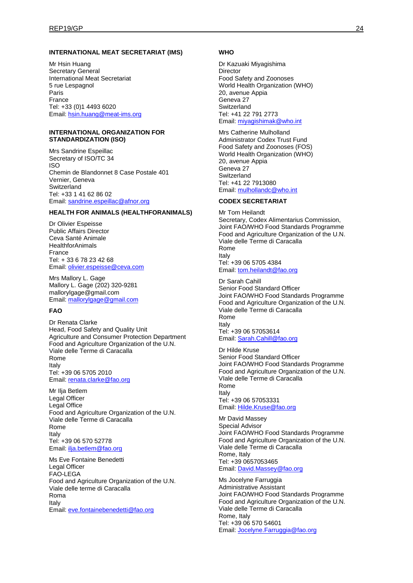#### **INTERNATIONAL MEAT SECRETARIAT (IMS)**

Mr Hsin Huang Secretary General International Meat Secretariat 5 rue Lespagnol Paris France Tel: +33 (0)1 4493 6020 Email: [hsin.huang@meat-ims.org](mailto:hsin.huang@meat-ims.org)

#### **INTERNATIONAL ORGANIZATION FOR STANDARDIZATION (ISO)**

Mrs Sandrine Espeillac Secretary of ISO/TC 34 ISO Chemin de Blandonnet 8 Case Postale 401 Vernier, Geneva **Switzerland** Tel: +33 1 41 62 86 02 Email: [sandrine.espeillac@afnor.org](mailto:sandrine.espeillac@afnor.org)

#### **HEALTH FOR ANIMALS (HEALTHFORANIMALS)**

Dr Olivier Espeisse Public Affairs Director Ceva Santé Animale **HealthforAnimals** France Tel: + 33 6 78 23 42 68 Email: [olivier.espeisse@ceva.com](mailto:olivier.espeisse@ceva.com)

Mrs Mallory L. Gage Mallory L. Gage (202) 320-9281 mallorylgage@gmail.com Email: [mallorylgage@gmail.com](mailto:mallorylgage@gmail.com)

#### **FAO**

Dr Renata Clarke Head, Food Safety and Quality Unit Agriculture and Consumer Protection Department Food and Agriculture Organization of the U.N. Viale delle Terme di Caracalla Rome Italy Tel: +39 06 5705 2010 Email: [renata.clarke@fao.org](mailto:renata.clarke@fao.org)

Mr Ilja Betlem Legal Officer Legal Office Food and Agriculture Organization of the U.N. Viale delle Terme di Caracalla Rome Italy Tel: +39 06 570 52778 Email: [ilja.betlem@fao.org](mailto:ilja.betlem@fao.org)

Ms Eve Fontaine Benedetti Legal Officer FAO-LEGA Food and Agriculture Organization of the U.N. Viale delle terme di Caracalla Roma Italy Email: [eve.fontainebenedetti@fao.org](mailto:eve.fontainebenedetti@fao.org)

#### **WHO**

Dr Kazuaki Miyagishima **Director** Food Safety and Zoonoses World Health Organization (WHO) 20, avenue Appia Geneva 27 **Switzerland** Tel: +41 22 791 2773 Email: [miyagishimak@who.int](mailto:miyagishimak@who.int)

Mrs Catherine Mulholland Administrator Codex Trust Fund Food Safety and Zoonoses (FOS) World Health Organization (WHO) 20, avenue Appia Geneva 27 **Switzerland** Tel: +41 22 7913080 Email: [mulhollandc@who.int](mailto:mulhollandc@who.int)

### **CODEX SECRETARIAT**

Mr Tom Heilandt Secretary, Codex Alimentarius Commission, Joint FAO/WHO Food Standards Programme Food and Agriculture Organization of the U.N. Viale delle Terme di Caracalla Rome Italy Tel: +39 06 5705 4384 Email: [tom.heilandt@fao.org](mailto:tom.heilandt@fao.org)

Dr Sarah Cahill Senior Food Standard Officer Joint FAO/WHO Food Standards Programme Food and Agriculture Organization of the U.N. Viale delle Terme di Caracalla Rome Italy Tel: +39 06 57053614 Email: [Sarah.Cahill@fao.org](mailto:Sarah.Cahill@fao.org)

Dr Hilde Kruse Senior Food Standard Officer Joint FAO/WHO Food Standards Programme Food and Agriculture Organization of the U.N. VIale delle Terme di Caracalla Rome Italy Tel: +39 06 57053331 Email: [Hilde.Kruse@fao.org](mailto:Hilde.Kruse@fao.org)

Mr David Massey Special Advisor Joint FAO/WHO Food Standards Programme Food and Agriculture Organization of the U.N. Viale delle Terme di Caracalla Rome, Italy Tel: +39 0657053465 Email: [David.Massey@fao.org](mailto:David.Massey@fao.org)

Ms Jocelyne Farruggia Administrative Assistant Joint FAO/WHO Food Standards Programme Food and Agriculture Organization of the U.N. Viale delle Terme di Caracalla Rome, Italy Tel: +39 06 570 54601 Email: [Jocelyne.Farruggia@fao.org](mailto:Jocelyne.Farruggia@fao.org)